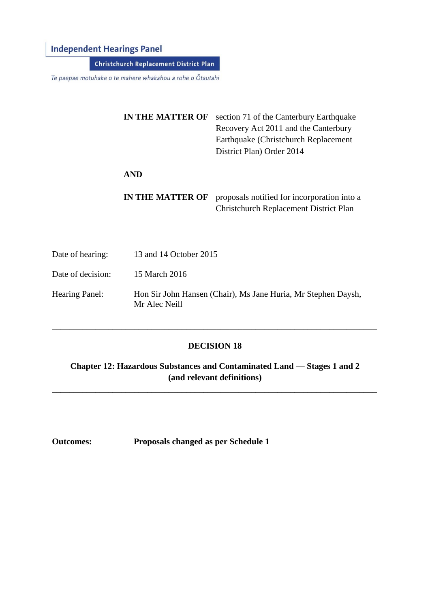## **Independent Hearings Panel**

Christchurch Replacement District Plan

Te paepae motuhake o te mahere whakahou a rohe o Ōtautahi

Date of decision: 15 March 2016

|                  | IN THE MATTER OF        | section 71 of the Canterbury Earthquake<br>Recovery Act 2011 and the Canterbury<br>Earthquake (Christchurch Replacement)<br>District Plan) Order 2014 |
|------------------|-------------------------|-------------------------------------------------------------------------------------------------------------------------------------------------------|
|                  | <b>AND</b>              |                                                                                                                                                       |
|                  | <b>IN THE MATTER OF</b> | proposals notified for incorporation into a<br><b>Christchurch Replacement District Plan</b>                                                          |
| Date of hearing: | 13 and 14 October 2015  |                                                                                                                                                       |

Hearing Panel: Hon Sir John Hansen (Chair), Ms Jane Huria, Mr Stephen Daysh, Mr Alec Neill

#### **DECISION 18**

\_\_\_\_\_\_\_\_\_\_\_\_\_\_\_\_\_\_\_\_\_\_\_\_\_\_\_\_\_\_\_\_\_\_\_\_\_\_\_\_\_\_\_\_\_\_\_\_\_\_\_\_\_\_\_\_\_\_\_\_\_\_\_\_\_\_\_\_\_\_\_\_\_\_\_

**Chapter 12: Hazardous Substances and Contaminated Land — Stages 1 and 2 (and relevant definitions)**

\_\_\_\_\_\_\_\_\_\_\_\_\_\_\_\_\_\_\_\_\_\_\_\_\_\_\_\_\_\_\_\_\_\_\_\_\_\_\_\_\_\_\_\_\_\_\_\_\_\_\_\_\_\_\_\_\_\_\_\_\_\_\_\_\_\_\_\_\_\_\_\_\_\_\_

**Outcomes: Proposals changed as per Schedule 1**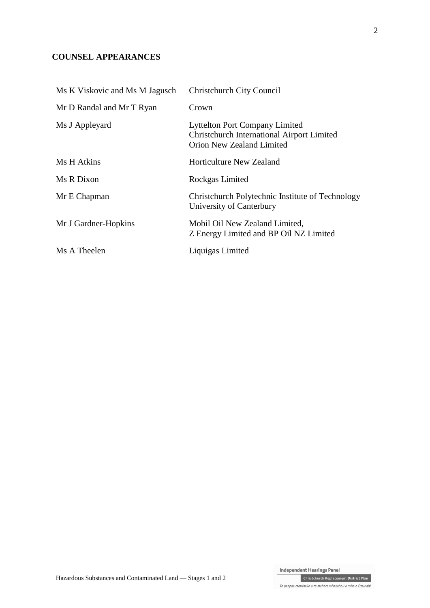## **COUNSEL APPEARANCES**

| Ms K Viskovic and Ms M Jagusch | <b>Christchurch City Council</b>                                                                                        |
|--------------------------------|-------------------------------------------------------------------------------------------------------------------------|
| Mr D Randal and Mr T Ryan      | Crown                                                                                                                   |
| Ms J Appleyard                 | <b>Lyttelton Port Company Limited</b><br>Christchurch International Airport Limited<br><b>Orion New Zealand Limited</b> |
| Ms H Atkins                    | Horticulture New Zealand                                                                                                |
| Ms R Dixon                     | Rockgas Limited                                                                                                         |
| Mr E Chapman                   | Christchurch Polytechnic Institute of Technology<br>University of Canterbury                                            |
| Mr J Gardner-Hopkins           | Mobil Oil New Zealand Limited,<br>Z Energy Limited and BP Oil NZ Limited                                                |
| Ms A Theelen                   | Liquigas Limited                                                                                                        |

Independent Hearings Panel<br>Christchurch Replacement District Plan

Te paepae motuhake o te mahere whakahou a rohe o Ōtautahi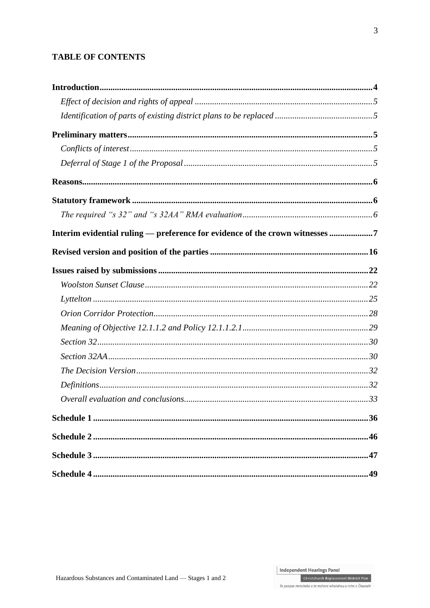## **TABLE OF CONTENTS**

| Interim evidential ruling — preference for evidence of the crown witnesses 7 |  |
|------------------------------------------------------------------------------|--|
|                                                                              |  |
|                                                                              |  |
|                                                                              |  |
|                                                                              |  |
|                                                                              |  |
|                                                                              |  |
|                                                                              |  |
|                                                                              |  |
|                                                                              |  |
|                                                                              |  |
|                                                                              |  |
|                                                                              |  |
|                                                                              |  |
|                                                                              |  |
|                                                                              |  |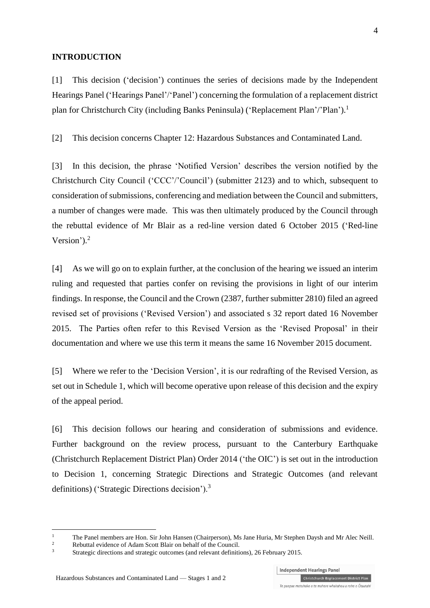#### **INTRODUCTION**

[1] This decision ('decision') continues the series of decisions made by the Independent Hearings Panel ('Hearings Panel'/'Panel') concerning the formulation of a replacement district plan for Christchurch City (including Banks Peninsula) ('Replacement Plan'/'Plan').<sup>1</sup>

[2] This decision concerns Chapter 12: Hazardous Substances and Contaminated Land.

[3] In this decision, the phrase 'Notified Version' describes the version notified by the Christchurch City Council ('CCC'/'Council') (submitter 2123) and to which, subsequent to consideration of submissions, conferencing and mediation between the Council and submitters, a number of changes were made. This was then ultimately produced by the Council through the rebuttal evidence of Mr Blair as a red-line version dated 6 October 2015 ('Red-line Version'). 2

[4] As we will go on to explain further, at the conclusion of the hearing we issued an interim ruling and requested that parties confer on revising the provisions in light of our interim findings. In response, the Council and the Crown (2387, further submitter 2810) filed an agreed revised set of provisions ('Revised Version') and associated s 32 report dated 16 November 2015. The Parties often refer to this Revised Version as the 'Revised Proposal' in their documentation and where we use this term it means the same 16 November 2015 document.

[5] Where we refer to the 'Decision Version', it is our redrafting of the Revised Version, as set out in Schedule 1, which will become operative upon release of this decision and the expiry of the appeal period.

[6] This decision follows our hearing and consideration of submissions and evidence. Further background on the review process, pursuant to the [Canterbury Earthquake](http://www.legislation.govt.nz/regulation/public/2014/0228/latest/DLM6190883.html?search=ts_act%40bill%40regulation%40deemedreg_Canterbury+Earthquake+%28Christchurch+Replacement+District+Plan%29+Order+2014+_resel_25_a&p=1)  [\(Christchurch Replacement District Plan\) Order 2014](http://www.legislation.govt.nz/regulation/public/2014/0228/latest/DLM6190883.html?search=ts_act%40bill%40regulation%40deemedreg_Canterbury+Earthquake+%28Christchurch+Replacement+District+Plan%29+Order+2014+_resel_25_a&p=1) ('the OIC') is set out in the introduction to Decision 1, concerning Strategic Directions and Strategic Outcomes (and relevant definitions) ('Strategic Directions decision').<sup>3</sup>

<sup>&</sup>lt;sup>1</sup> The Panel members are Hon. Sir John Hansen (Chairperson), Ms Jane Huria, Mr Stephen Daysh and Mr Alec Neill.<br><sup>2</sup> Palyttel suidance of Advan Soatt Plain an habelf of the Cause il

<sup>&</sup>lt;sup>2</sup><br>Rebuttal evidence of Adam Scott Blair on behalf of the Council.<br>Strategie directions and strategie outcomes (and relevant definitions)

<sup>3</sup> [Strategic directions and strategic outcomes \(and relevant definitions\), 26 February 2015.](http://www.chchplan.ihp.govt.nz/wp-content/uploads/2015/03/Strategic-Directions-and-Strategic-Outcomes-Decision.pdf)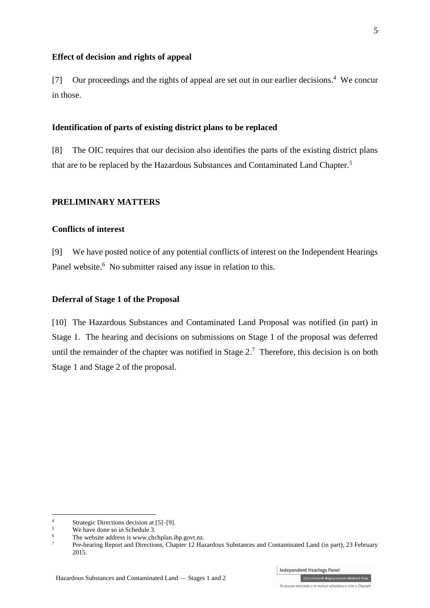#### **Effect of decision and rights of appeal**

[7] Our proceedings and the rights of appeal are set out in our earlier decisions.<sup>4</sup> We concur in those.

#### **Identification of parts of existing district plans to be replaced**

[8] The OIC requires that our decision also identifies the parts of the existing district plans that are to be replaced by the Hazardous Substances and Contaminated Land Chapter.<sup>5</sup>

#### **PRELIMINARY MATTERS**

#### **Conflicts of interest**

[9] We have posted notice of any potential conflicts of interest on the Independent Hearings Panel website.<sup>6</sup> No submitter raised any issue in relation to this.

#### **Deferral of Stage 1 of the Proposal**

[10] The Hazardous Substances and Contaminated Land Proposal was notified (in part) in Stage 1. The hearing and decisions on submissions on Stage 1 of the proposal was deferred until the remainder of the chapter was notified in Stage  $2<sup>7</sup>$  Therefore, this decision is on both Stage 1 and Stage 2 of the proposal.

<sup>4</sup> Strategic Directions decision at  $[5]$ – $[9]$ .<br>
We have done so in Schedule 3

 $5$  We have done so in Schedule 3.

<sup>&</sup>lt;sup>6</sup> The website address is [www.chchplan.ihp.govt.nz.](http://www.chchplan.ihp.govt.nz/)<br> $\frac{7}{4}$ 

<sup>7</sup> Pre-hearing Report and Directions, Chapter 12 Hazardous Substances and Contaminated Land (in part), 23 February 2015.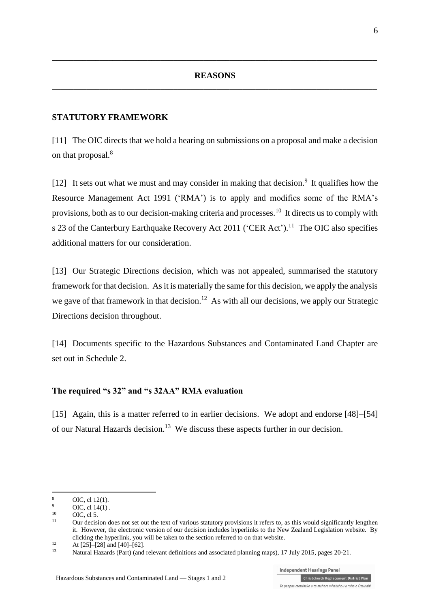**\_\_\_\_\_\_\_\_\_\_\_\_\_\_\_\_\_\_\_\_\_\_\_\_\_\_\_\_\_\_\_\_\_\_\_\_\_\_\_\_\_\_\_\_\_\_\_\_\_\_\_\_\_\_\_\_\_\_\_\_\_\_\_\_\_\_\_\_\_\_\_\_\_\_\_**

#### **STATUTORY FRAMEWORK**

[11] The OIC directs that we hold a hearing on submissions on a proposal and make a decision on that proposal. 8

[12] It sets out what we must and may consider in making that decision.<sup>9</sup> It qualifies how the [Resource Management Act 1991](http://www.legislation.govt.nz/act/public/1991/0069/latest/DLM230265.html) ('RMA') is to apply and modifies some of the RMA's provisions, both as to our decision-making criteria and processes.<sup>10</sup> It directs us to comply with s 23 of the [Canterbury Earthquake Recovery Act 2011](http://www.legislation.govt.nz/act/public/2011/0012/latest/DLM3653522.html) ('CER Act').<sup>11</sup> The OIC also specifies additional matters for our consideration.

[13] Our Strategic Directions decision, which was not appealed, summarised the statutory framework for that decision. As it is materially the same for this decision, we apply the analysis we gave of that framework in that decision.<sup>12</sup> As with all our decisions, we apply our Strategic Directions decision throughout.

[14] Documents specific to the Hazardous Substances and Contaminated Land Chapter are set out in Schedule 2.

#### <span id="page-5-0"></span>**The required "s 32" and "s 32AA" RMA evaluation**

[15] Again, this is a matter referred to in earlier decisions. We adopt and endorse [48]–[54] of our Natural Hazards decision.<sup>13</sup> We discuss these aspects further in our decision.

<sup>8</sup> OIC, cl [12\(1\).](http://www.legislation.govt.nz/regulation/public/2014/0228/latest/DLM6191312.html?search=ts_act%40bill%40regulation%40deemedreg_Canterbury+Earthquake+(Christchurch+Replacement+District+Plan)+Order+2014+_resel_25_a&p=1)

 $^{9}$  OIC[, cl 14\(1\)](http://www.legislation.govt.nz/regulation/public/2014/0228/latest/DLM6190449.html?search=ts_act%40bill%40regulation%40deemedreg_Canterbury+Earthquake+(Christchurch+Replacement+District+Plan)+Order+2014+_resel_25_a&p=1).

 $10$  OIC, [cl 5.](http://www.legislation.govt.nz/regulation/public/2014/0228/latest/DLM6190439.html?search=ts_act%40bill%40regulation%40deemedreg_Canterbury+Earthquake+(Christchurch+Replacement+District+Plan)+Order+2014+_resel_25_a&p=1)

Our decision does not set out the text of various statutory provisions it refers to, as this would significantly lengthen it. However, the electronic version of our decision includes hyperlinks to the New Zealand Legislation website. By clicking the hyperlink, you will be taken to the section referred to on that website.

 $12$  At [25]–[28] and [40]–[62].

<sup>13</sup> [Natural Hazards \(Part\) \(and relevant definitions and associated planning maps\), 17 July 2015,](http://www.chchplan.ihp.govt.nz/wp-content/uploads/2015/03/Natural-Hazards-Part.pdf) pages 20-21.

Te paepae motuhake o te mahere whakahou a rohe o Ōtautahi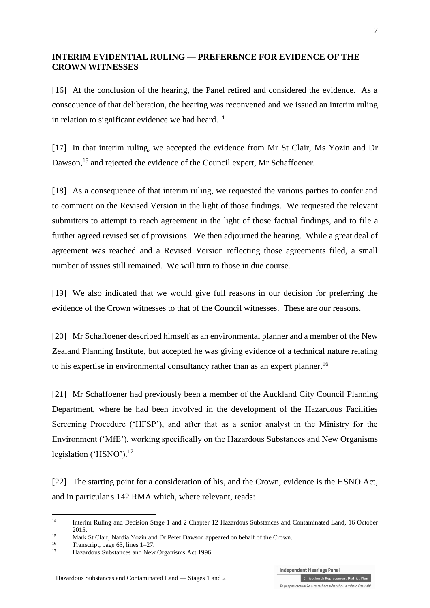### **INTERIM EVIDENTIAL RULING — PREFERENCE FOR EVIDENCE OF THE CROWN WITNESSES**

[16] At the conclusion of the hearing, the Panel retired and considered the evidence. As a consequence of that deliberation, the hearing was reconvened and we issued an interim ruling in relation to significant evidence we had heard.<sup>14</sup>

[17] In that interim ruling, we accepted the evidence from Mr St Clair, Ms Yozin and Dr Dawson,<sup>15</sup> and rejected the evidence of the Council expert, Mr Schaffoener.

[18] As a consequence of that interim ruling, we requested the various parties to confer and to comment on the Revised Version in the light of those findings. We requested the relevant submitters to attempt to reach agreement in the light of those factual findings, and to file a further agreed revised set of provisions. We then adjourned the hearing. While a great deal of agreement was reached and a Revised Version reflecting those agreements filed, a small number of issues still remained. We will turn to those in due course.

[19] We also indicated that we would give full reasons in our decision for preferring the evidence of the Crown witnesses to that of the Council witnesses. These are our reasons.

[20] Mr Schaffoener described himself as an environmental planner and a member of the New Zealand Planning Institute, but accepted he was giving evidence of a technical nature relating to his expertise in environmental consultancy rather than as an expert planner.<sup>16</sup>

[21] Mr Schaffoener had previously been a member of the Auckland City Council Planning Department, where he had been involved in the development of the Hazardous Facilities Screening Procedure ('HFSP'), and after that as a senior analyst in the Ministry for the Environment ('MfE'), working specifically on the Hazardous Substances and New Organisms legislation ('HSNO').<sup>17</sup>

[22] The starting point for a consideration of his, and the Crown, evidence is the HSNO Act, and in particular s 142 RMA which, where relevant, reads:

<sup>14</sup> Interim Ruling and Decision Stage 1 and 2 Chapter 12 Hazardous Substances and Contaminated Land, 16 October 2015.

<sup>&</sup>lt;sup>15</sup> Mark St Clair, Nardia Yozin and Dr Peter Dawson appeared on behalf of the Crown.

 $^{16}$  Transcript, page 63, lines 1–27.

Hazardous Substances and New Organisms Act 1996.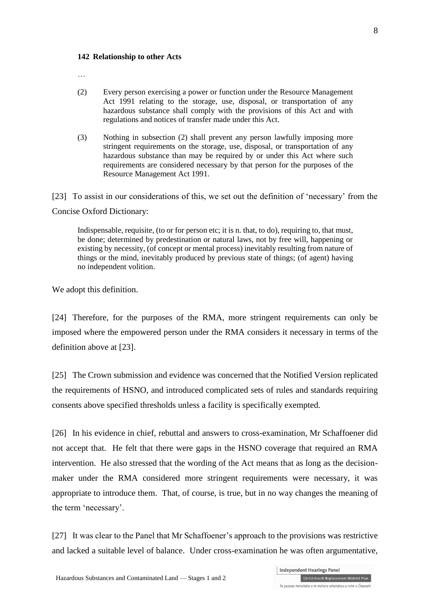#### **142 Relationship to other Acts**

…

- (2) Every person exercising a power or function under the Resource Management Act 1991 relating to the storage, use, disposal, or transportation of any hazardous substance shall comply with the provisions of this Act and with regulations and notices of transfer made under this Act.
- (3) Nothing in subsection (2) shall prevent any person lawfully imposing more stringent requirements on the storage, use, disposal, or transportation of any hazardous substance than may be required by or under this Act where such requirements are considered necessary by that person for the purposes of the Resource Management Act 1991.

<span id="page-7-0"></span>[23] To assist in our considerations of this, we set out the definition of 'necessary' from the Concise Oxford Dictionary:

Indispensable, requisite, (to or for person etc; it is n. that, to do), requiring to, that must, be done; determined by predestination or natural laws, not by free will, happening or existing by necessity, (of concept or mental process) inevitably resulting from nature of things or the mind, inevitably produced by previous state of things; (of agent) having no independent volition.

We adopt this definition.

[24] Therefore, for the purposes of the RMA, more stringent requirements can only be imposed where the empowered person under the RMA considers it necessary in terms of the definition above at [\[23\].](#page-7-0)

<span id="page-7-1"></span>[25] The Crown submission and evidence was concerned that the Notified Version replicated the requirements of HSNO, and introduced complicated sets of rules and standards requiring consents above specified thresholds unless a facility is specifically exempted.

[26] In his evidence in chief, rebuttal and answers to cross-examination, Mr Schaffoener did not accept that. He felt that there were gaps in the HSNO coverage that required an RMA intervention. He also stressed that the wording of the Act means that as long as the decisionmaker under the RMA considered more stringent requirements were necessary, it was appropriate to introduce them. That, of course, is true, but in no way changes the meaning of the term 'necessary'.

[27] It was clear to the Panel that Mr Schaffoener's approach to the provisions was restrictive and lacked a suitable level of balance. Under cross-examination he was often argumentative,

8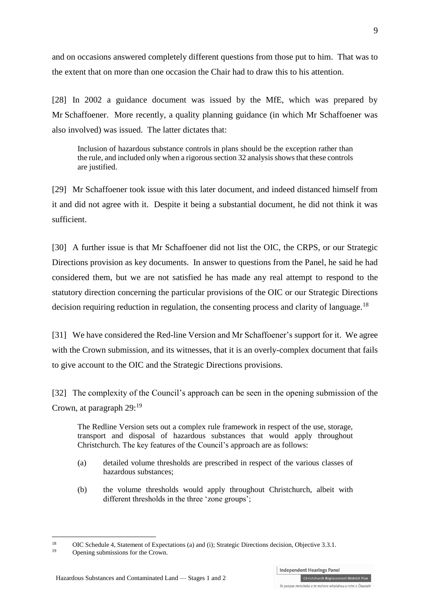and on occasions answered completely different questions from those put to him. That was to the extent that on more than one occasion the Chair had to draw this to his attention.

[28] In 2002 a guidance document was issued by the MfE, which was prepared by Mr Schaffoener. More recently, a quality planning guidance (in which Mr Schaffoener was also involved) was issued. The latter dictates that:

Inclusion of hazardous substance controls in plans should be the exception rather than the rule, and included only when a rigorous section 32 analysis shows that these controls are justified.

[29] Mr Schaffoener took issue with this later document, and indeed distanced himself from it and did not agree with it. Despite it being a substantial document, he did not think it was sufficient.

[30] A further issue is that Mr Schaffoener did not list the OIC, the CRPS, or our Strategic Directions provision as key documents. In answer to questions from the Panel, he said he had considered them, but we are not satisfied he has made any real attempt to respond to the statutory direction concerning the particular provisions of the OIC or our Strategic Directions decision requiring reduction in regulation, the consenting process and clarity of language.<sup>18</sup>

[31] We have considered the Red-line Version and Mr Schaffoener's support for it. We agree with the Crown submission, and its witnesses, that it is an overly-complex document that fails to give account to the OIC and the Strategic Directions provisions.

[32] The complexity of the Council's approach can be seen in the opening submission of the Crown, at paragraph 29:<sup>19</sup>

The Redline Version sets out a complex rule framework in respect of the use, storage, transport and disposal of hazardous substances that would apply throughout Christchurch. The key features of the Council's approach are as follows:

- (a) detailed volume thresholds are prescribed in respect of the various classes of hazardous substances;
- (b) the volume thresholds would apply throughout Christchurch, albeit with different thresholds in the three 'zone groups';

<u>.</u>

<sup>&</sup>lt;sup>18</sup> [OIC Schedule 4, Statement of Expectations \(a\) and \(i\);](http://legislation.govt.nz/regulation/public/2014/0228/latest/DLM6189907.html) Strategic Directions decision, Objective 3.3.1.

Opening submissions for the Crown.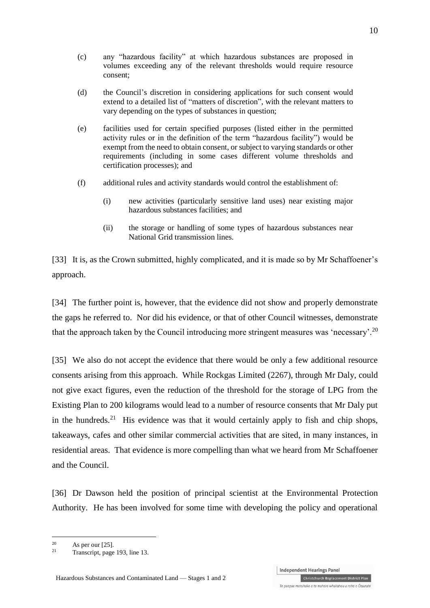- (d) the Council's discretion in considering applications for such consent would extend to a detailed list of "matters of discretion", with the relevant matters to vary depending on the types of substances in question;
- (e) facilities used for certain specified purposes (listed either in the permitted activity rules or in the definition of the term "hazardous facility") would be exempt from the need to obtain consent, or subject to varying standards or other requirements (including in some cases different volume thresholds and certification processes); and
- (f) additional rules and activity standards would control the establishment of:
	- (i) new activities (particularly sensitive land uses) near existing major hazardous substances facilities; and
	- (ii) the storage or handling of some types of hazardous substances near National Grid transmission lines.

[33] It is, as the Crown submitted, highly complicated, and it is made so by Mr Schaffoener's approach.

[34] The further point is, however, that the evidence did not show and properly demonstrate the gaps he referred to. Nor did his evidence, or that of other Council witnesses, demonstrate that the approach taken by the Council introducing more stringent measures was 'necessary'.<sup>20</sup>

[35] We also do not accept the evidence that there would be only a few additional resource consents arising from this approach. While Rockgas Limited (2267), through Mr Daly, could not give exact figures, even the reduction of the threshold for the storage of LPG from the Existing Plan to 200 kilograms would lead to a number of resource consents that Mr Daly put in the hundreds.<sup>21</sup> His evidence was that it would certainly apply to fish and chip shops, takeaways, cafes and other similar commercial activities that are sited, in many instances, in residential areas. That evidence is more compelling than what we heard from Mr Schaffoener and the Council.

[36] Dr Dawson held the position of principal scientist at the Environmental Protection Authority. He has been involved for some time with developing the policy and operational

<u>.</u>

 $20$  As per ou[r \[25\].](#page-7-1)

Transcript, page 193, line 13.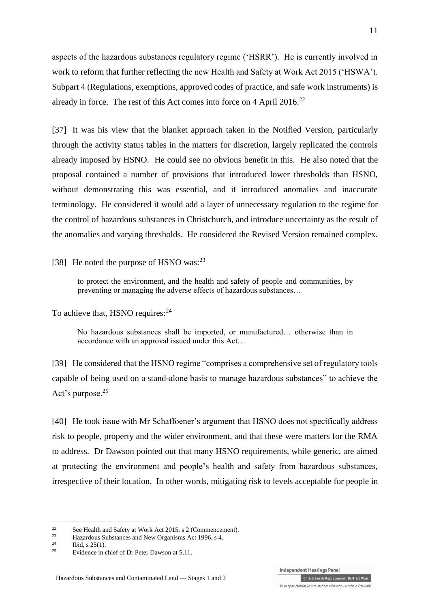aspects of the hazardous substances regulatory regime ('HSRR'). He is currently involved in work to reform that further reflecting the new Health and Safety at Work Act 2015 ('HSWA'). Subpart 4 (Regulations, exemptions, approved codes of practice, and safe work instruments) is already in force. The rest of this Act comes into force on 4 April 2016.<sup>22</sup>

[37] It was his view that the blanket approach taken in the Notified Version, particularly through the activity status tables in the matters for discretion, largely replicated the controls already imposed by HSNO. He could see no obvious benefit in this. He also noted that the proposal contained a number of provisions that introduced lower thresholds than HSNO, without demonstrating this was essential, and it introduced anomalies and inaccurate terminology. He considered it would add a layer of unnecessary regulation to the regime for the control of hazardous substances in Christchurch, and introduce uncertainty as the result of the anomalies and varying thresholds. He considered the Revised Version remained complex.

[38] He noted the purpose of HSNO was: $^{23}$ 

to protect the environment, and the health and safety of people and communities, by preventing or managing the adverse effects of hazardous substances…

To achieve that, HSNO requires:<sup>24</sup>

No hazardous substances shall be imported, or manufactured… otherwise than in accordance with an approval issued under this Act…

[39] He considered that the HSNO regime "comprises a comprehensive set of regulatory tools capable of being used on a stand-alone basis to manage hazardous substances" to achieve the Act's purpose.<sup>25</sup>

[40] He took issue with Mr Schaffoener's argument that HSNO does not specifically address risk to people, property and the wider environment, and that these were matters for the RMA to address. Dr Dawson pointed out that many HSNO requirements, while generic, are aimed at protecting the environment and people's health and safety from hazardous substances, irrespective of their location. In other words, mitigating risk to levels acceptable for people in

<u>.</u>

<sup>&</sup>lt;sup>22</sup> Se[e Health and Safety at Work Act 2015, s 2 \(Commencement\).](http://www.legislation.govt.nz/act/public/2015/0070/latest/DLM6564701.html)

 $\frac{23}{24}$  [Hazardous Substances and New Organisms Act 1996, s 4.](http://www.legislation.govt.nz/act/public/1996/0030/latest/DLM382991.html)

 $\frac{24}{25}$  [Ibid, s 25\(1\).](http://www.legislation.govt.nz/act/public/1996/0030/latest/DLM383162.html)

Evidence in chief of Dr Peter Dawson at 5.11.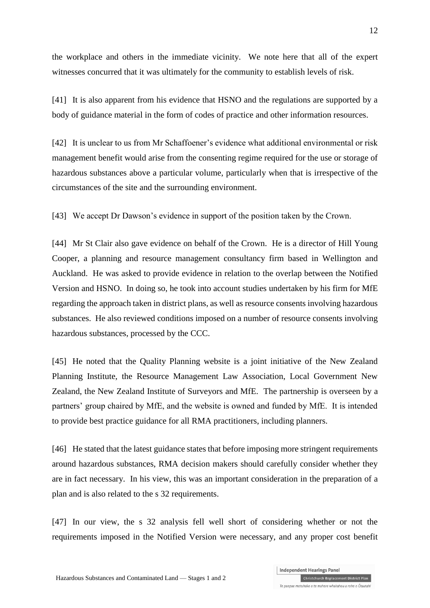the workplace and others in the immediate vicinity. We note here that all of the expert witnesses concurred that it was ultimately for the community to establish levels of risk.

[41] It is also apparent from his evidence that HSNO and the regulations are supported by a body of guidance material in the form of codes of practice and other information resources.

[42] It is unclear to us from Mr Schaffoener's evidence what additional environmental or risk management benefit would arise from the consenting regime required for the use or storage of hazardous substances above a particular volume, particularly when that is irrespective of the circumstances of the site and the surrounding environment.

[43] We accept Dr Dawson's evidence in support of the position taken by the Crown.

[44] Mr St Clair also gave evidence on behalf of the Crown. He is a director of Hill Young Cooper, a planning and resource management consultancy firm based in Wellington and Auckland. He was asked to provide evidence in relation to the overlap between the Notified Version and HSNO. In doing so, he took into account studies undertaken by his firm for MfE regarding the approach taken in district plans, as well as resource consents involving hazardous substances. He also reviewed conditions imposed on a number of resource consents involving hazardous substances, processed by the CCC.

[45] He noted that the Quality Planning website is a joint initiative of the New Zealand Planning Institute, the Resource Management Law Association, Local Government New Zealand, the New Zealand Institute of Surveyors and MfE. The partnership is overseen by a partners' group chaired by MfE, and the website is owned and funded by MfE. It is intended to provide best practice guidance for all RMA practitioners, including planners.

[46] He stated that the latest guidance states that before imposing more stringent requirements around hazardous substances, RMA decision makers should carefully consider whether they are in fact necessary. In his view, this was an important consideration in the preparation of a plan and is also related to the s 32 requirements.

[47] In our view, the s 32 analysis fell well short of considering whether or not the requirements imposed in the Notified Version were necessary, and any proper cost benefit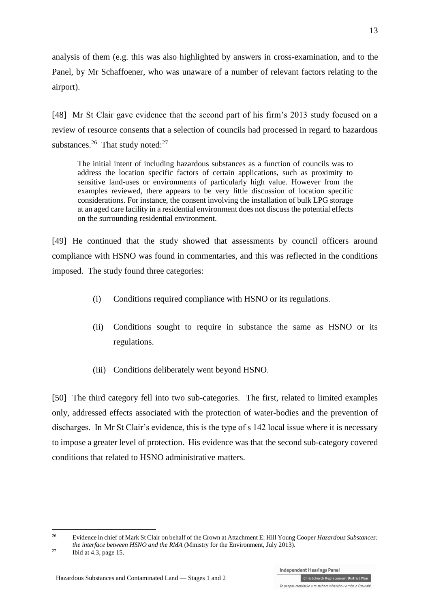analysis of them (e.g. this was also highlighted by answers in cross-examination, and to the Panel, by Mr Schaffoener, who was unaware of a number of relevant factors relating to the airport).

[48] Mr St Clair gave evidence that the second part of his firm's 2013 study focused on a review of resource consents that a selection of councils had processed in regard to hazardous substances. $26$  That study noted: $27$ 

The initial intent of including hazardous substances as a function of councils was to address the location specific factors of certain applications, such as proximity to sensitive land-uses or environments of particularly high value. However from the examples reviewed, there appears to be very little discussion of location specific considerations. For instance, the consent involving the installation of bulk LPG storage at an aged care facility in a residential environment does not discuss the potential effects on the surrounding residential environment.

[49] He continued that the study showed that assessments by council officers around compliance with HSNO was found in commentaries, and this was reflected in the conditions imposed. The study found three categories:

- (i) Conditions required compliance with HSNO or its regulations.
- (ii) Conditions sought to require in substance the same as HSNO or its regulations.
- (iii) Conditions deliberately went beyond HSNO.

[50] The third category fell into two sub-categories. The first, related to limited examples only, addressed effects associated with the protection of water-bodies and the prevention of discharges. In Mr St Clair's evidence, this is the type of s 142 local issue where it is necessary to impose a greater level of protection. His evidence was that the second sub-category covered conditions that related to HSNO administrative matters.

<sup>26</sup> Evidence in chief of Mark St Clair on behalf of the Crown at Attachment E: Hill Young Cooper *Hazardous Substances: the interface between HSNO and the RMA* (Ministry for the Environment, July 2013).

<sup>&</sup>lt;sup>27</sup> Ibid at  $4.3$ , page 15.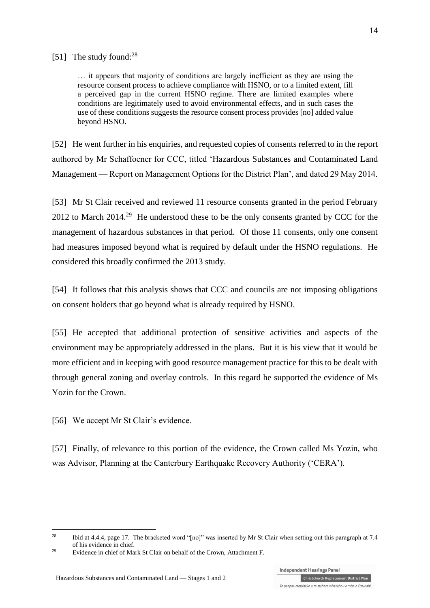#### [51] The study found:<sup>28</sup>

… it appears that majority of conditions are largely inefficient as they are using the resource consent process to achieve compliance with HSNO, or to a limited extent, fill a perceived gap in the current HSNO regime. There are limited examples where conditions are legitimately used to avoid environmental effects, and in such cases the use of these conditions suggests the resource consent process provides [no] added value beyond HSNO.

[52] He went further in his enquiries, and requested copies of consents referred to in the report authored by Mr Schaffoener for CCC, titled 'Hazardous Substances and Contaminated Land Management — Report on Management Options for the District Plan', and dated 29 May 2014.

[53] Mr St Clair received and reviewed 11 resource consents granted in the period February 2012 to March  $2014<sup>29</sup>$  He understood these to be the only consents granted by CCC for the management of hazardous substances in that period. Of those 11 consents, only one consent had measures imposed beyond what is required by default under the HSNO regulations. He considered this broadly confirmed the 2013 study.

[54] It follows that this analysis shows that CCC and councils are not imposing obligations on consent holders that go beyond what is already required by HSNO.

[55] He accepted that additional protection of sensitive activities and aspects of the environment may be appropriately addressed in the plans. But it is his view that it would be more efficient and in keeping with good resource management practice for this to be dealt with through general zoning and overlay controls. In this regard he supported the evidence of Ms Yozin for the Crown.

[56] We accept Mr St Clair's evidence.

1

[57] Finally, of relevance to this portion of the evidence, the Crown called Ms Yozin, who was Advisor, Planning at the Canterbury Earthquake Recovery Authority ('CERA').

Independent Hearings Panel

<sup>&</sup>lt;sup>28</sup> Ibid at 4.4.4, page 17. The bracketed word "[no]" was inserted by Mr St Clair when setting out this paragraph at 7.4 of his evidence in chief.

<sup>29</sup> Evidence in chief of Mark St Clair on behalf of the Crown, Attachment F.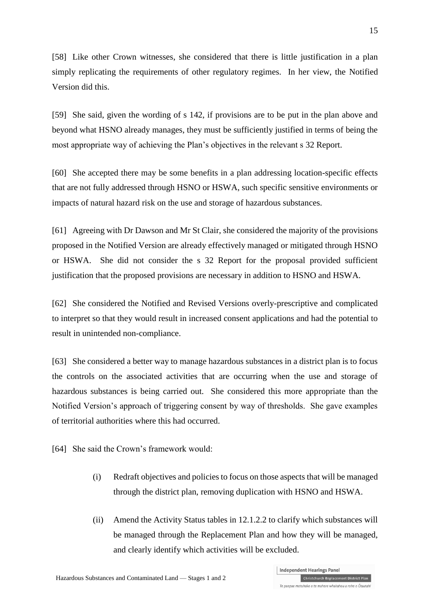[58] Like other Crown witnesses, she considered that there is little justification in a plan simply replicating the requirements of other regulatory regimes. In her view, the Notified Version did this.

[59] She said, given the wording of s 142, if provisions are to be put in the plan above and beyond what HSNO already manages, they must be sufficiently justified in terms of being the most appropriate way of achieving the Plan's objectives in the relevant s 32 Report.

[60] She accepted there may be some benefits in a plan addressing location-specific effects that are not fully addressed through HSNO or HSWA, such specific sensitive environments or impacts of natural hazard risk on the use and storage of hazardous substances.

[61] Agreeing with Dr Dawson and Mr St Clair, she considered the majority of the provisions proposed in the Notified Version are already effectively managed or mitigated through HSNO or HSWA. She did not consider the s 32 Report for the proposal provided sufficient justification that the proposed provisions are necessary in addition to HSNO and HSWA.

[62] She considered the Notified and Revised Versions overly-prescriptive and complicated to interpret so that they would result in increased consent applications and had the potential to result in unintended non-compliance.

[63] She considered a better way to manage hazardous substances in a district plan is to focus the controls on the associated activities that are occurring when the use and storage of hazardous substances is being carried out. She considered this more appropriate than the Notified Version's approach of triggering consent by way of thresholds. She gave examples of territorial authorities where this had occurred.

[64] She said the Crown's framework would:

- (i) Redraft objectives and policies to focus on those aspects that will be managed through the district plan, removing duplication with HSNO and HSWA.
- (ii) Amend the Activity Status tables in 12.1.2.2 to clarify which substances will be managed through the Replacement Plan and how they will be managed, and clearly identify which activities will be excluded.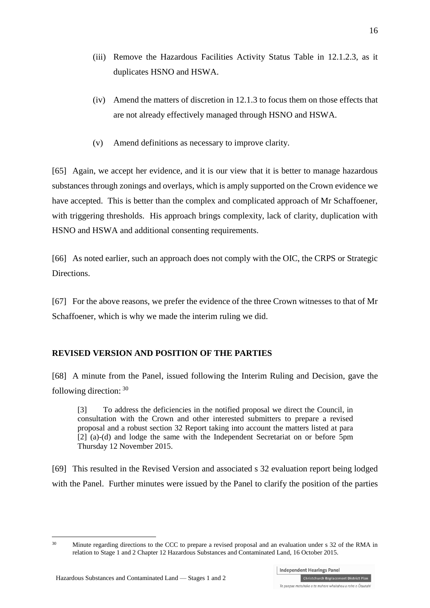- (iii) Remove the Hazardous Facilities Activity Status Table in 12.1.2.3, as it duplicates HSNO and HSWA.
- (iv) Amend the matters of discretion in 12.1.3 to focus them on those effects that are not already effectively managed through HSNO and HSWA.
- (v) Amend definitions as necessary to improve clarity.

[65] Again, we accept her evidence, and it is our view that it is better to manage hazardous substances through zonings and overlays, which is amply supported on the Crown evidence we have accepted. This is better than the complex and complicated approach of Mr Schaffoener, with triggering thresholds. His approach brings complexity, lack of clarity, duplication with HSNO and HSWA and additional consenting requirements.

[66] As noted earlier, such an approach does not comply with the OIC, the CRPS or Strategic Directions.

[67] For the above reasons, we prefer the evidence of the three Crown witnesses to that of Mr Schaffoener, which is why we made the interim ruling we did.

## **REVISED VERSION AND POSITION OF THE PARTIES**

[68] A minute from the Panel, issued following the Interim Ruling and Decision, gave the following direction: <sup>30</sup>

[3] To address the deficiencies in the notified proposal we direct the Council, in consultation with the Crown and other interested submitters to prepare a revised proposal and a robust section 32 Report taking into account the matters listed at para  $\begin{bmatrix} 2 \end{bmatrix}$  (a)-(d) and lodge the same with the Independent Secretariat on or before 5pm Thursday 12 November 2015.

[69] This resulted in the Revised Version and associated s 32 evaluation report being lodged with the Panel. Further minutes were issued by the Panel to clarify the position of the parties

<sup>&</sup>lt;u>.</u> <sup>30</sup> Minute regarding directions to the CCC to prepare a revised proposal and an evaluation under s 32 of the RMA in relation to Stage 1 and 2 Chapter 12 Hazardous Substances and Contaminated Land, 16 October 2015.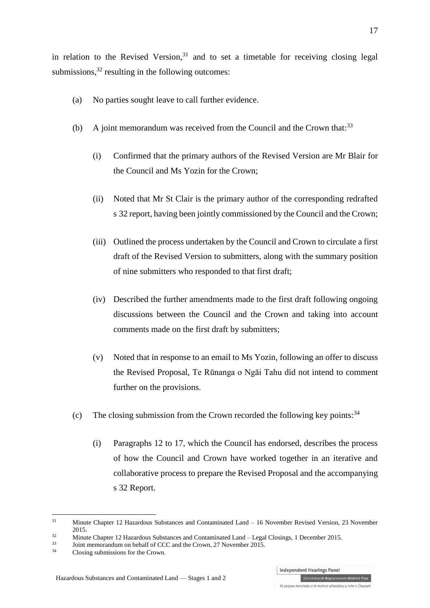in relation to the Revised Version,<sup>31</sup> and to set a timetable for receiving closing legal submissions, $32$  resulting in the following outcomes:

- (a) No parties sought leave to call further evidence.
- (b) A joint memorandum was received from the Council and the Crown that: $33$ 
	- (i) Confirmed that the primary authors of the Revised Version are Mr Blair for the Council and Ms Yozin for the Crown;
	- (ii) Noted that Mr St Clair is the primary author of the corresponding redrafted s 32 report, having been jointly commissioned by the Council and the Crown;
	- (iii) Outlined the process undertaken by the Council and Crown to circulate a first draft of the Revised Version to submitters, along with the summary position of nine submitters who responded to that first draft;
	- (iv) Described the further amendments made to the first draft following ongoing discussions between the Council and the Crown and taking into account comments made on the first draft by submitters;
	- (v) Noted that in response to an email to Ms Yozin, following an offer to discuss the Revised Proposal, Te Rūnanga o Ngāi Tahu did not intend to comment further on the provisions.
- (c) The closing submission from the Crown recorded the following key points:  $34$ 
	- (i) Paragraphs 12 to 17, which the Council has endorsed, describes the process of how the Council and Crown have worked together in an iterative and collaborative process to prepare the Revised Proposal and the accompanying s 32 Report.

<sup>&</sup>lt;sup>31</sup> Minute Chapter 12 Hazardous Substances and Contaminated Land – 16 November Revised Version, 23 November 2015.

<sup>32</sup> Minute Chapter 12 Hazardous Substances and Contaminated Land – Legal Closings, 1 December 2015.

 $\frac{33}{14}$  Joint memorandum on behalf of CCC and the Crown, 27 November 2015.

Closing submissions for the Crown.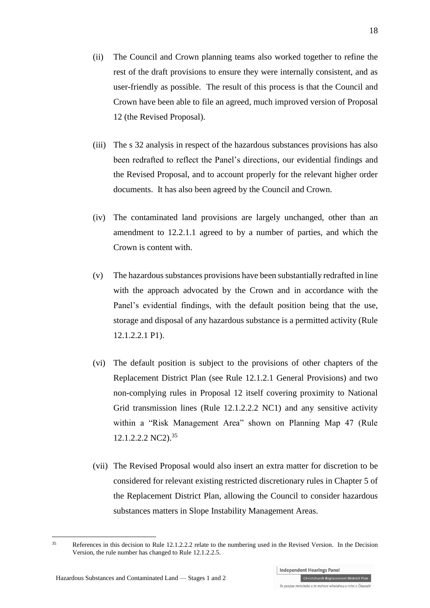- (ii) The Council and Crown planning teams also worked together to refine the rest of the draft provisions to ensure they were internally consistent, and as user-friendly as possible. The result of this process is that the Council and Crown have been able to file an agreed, much improved version of Proposal 12 (the Revised Proposal).
- (iii) The s 32 analysis in respect of the hazardous substances provisions has also been redrafted to reflect the Panel's directions, our evidential findings and the Revised Proposal, and to account properly for the relevant higher order documents. It has also been agreed by the Council and Crown.
- (iv) The contaminated land provisions are largely unchanged, other than an amendment to 12.2.1.1 agreed to by a number of parties, and which the Crown is content with.
- (v) The hazardous substances provisions have been substantially redrafted in line with the approach advocated by the Crown and in accordance with the Panel's evidential findings, with the default position being that the use, storage and disposal of any hazardous substance is a permitted activity (Rule 12.1.2.2.1 P1).
- (vi) The default position is subject to the provisions of other chapters of the Replacement District Plan (see Rule 12.1.2.1 General Provisions) and two non-complying rules in Proposal 12 itself covering proximity to National Grid transmission lines (Rule 12.1.2.2.2 NC1) and any sensitive activity within a "Risk Management Area" shown on Planning Map 47 (Rule 12.1.2.2.2 NC2). 35
- (vii) The Revised Proposal would also insert an extra matter for discretion to be considered for relevant existing restricted discretionary rules in Chapter 5 of the Replacement District Plan, allowing the Council to consider hazardous substances matters in Slope Instability Management Areas.

Independent Hearings Panel

<sup>&</sup>lt;u>.</u> <sup>35</sup> References in this decision to Rule 12.1.2.2.2 relate to the numbering used in the Revised Version. In the Decision Version, the rule number has changed to Rule 12.1.2.2.5.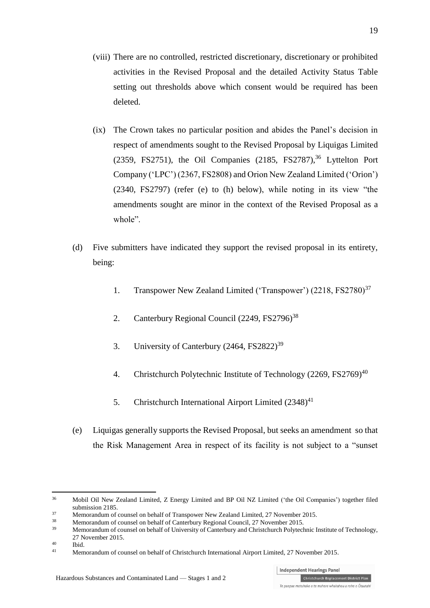- (viii) There are no controlled, restricted discretionary, discretionary or prohibited activities in the Revised Proposal and the detailed Activity Status Table setting out thresholds above which consent would be required has been deleted.
- (ix) The Crown takes no particular position and abides the Panel's decision in respect of amendments sought to the Revised Proposal by Liquigas Limited  $(2359, FS2751)$ , the Oil Companies  $(2185, FS2787)^{36}$  Lyttelton Port Company ('LPC') (2367, FS2808) and Orion New Zealand Limited ('Orion') (2340, FS2797) (refer (e) to (h) below), while noting in its view "the amendments sought are minor in the context of the Revised Proposal as a whole".
- (d) Five submitters have indicated they support the revised proposal in its entirety, being:
	- 1. Transpower New Zealand Limited ('Transpower') (2218, FS2780)<sup>37</sup>
	- 2. Canterbury Regional Council (2249, FS2796)<sup>38</sup>
	- 3. University of Canterbury  $(2464, FS2822)^{39}$
	- 4. Christchurch Polytechnic Institute of Technology  $(2269, FS2769)^{40}$
	- 5. Christchurch International Airport Limited  $(2348)^{41}$
- (e) Liquigas generally supports the Revised Proposal, but seeks an amendment so that the Risk Management Area in respect of its facility is not subject to a "sunset

<sup>36</sup> Mobil Oil New Zealand Limited, Z Energy Limited and BP Oil NZ Limited ('the Oil Companies') together filed submission 2185.

<sup>&</sup>lt;sup>37</sup> Memorandum of counsel on behalf of Transpower New Zealand Limited, 27 November 2015.

<sup>&</sup>lt;sup>38</sup><br>Memorandum of counsel on behalf of Canterbury Regional Council, 27 November 2015.

<sup>39</sup> Memorandum of counsel on behalf of University of Canterbury and Christchurch Polytechnic Institute of Technology, 27 November 2015.

 $^{40}$  Ibid.

<sup>41</sup> Memorandum of counsel on behalf of Christchurch International Airport Limited, 27 November 2015.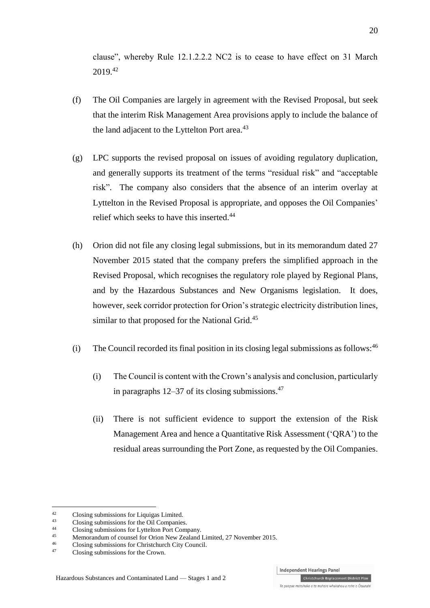clause", whereby Rule 12.1.2.2.2 NC2 is to cease to have effect on 31 March 2019. 42

- (f) The Oil Companies are largely in agreement with the Revised Proposal, but seek that the interim Risk Management Area provisions apply to include the balance of the land adjacent to the Lyttelton Port area.<sup>43</sup>
- (g) LPC supports the revised proposal on issues of avoiding regulatory duplication, and generally supports its treatment of the terms "residual risk" and "acceptable risk". The company also considers that the absence of an interim overlay at Lyttelton in the Revised Proposal is appropriate, and opposes the Oil Companies' relief which seeks to have this inserted.<sup>44</sup>
- (h) Orion did not file any closing legal submissions, but in its memorandum dated 27 November 2015 stated that the company prefers the simplified approach in the Revised Proposal, which recognises the regulatory role played by Regional Plans, and by the Hazardous Substances and New Organisms legislation. It does, however, seek corridor protection for Orion's strategic electricity distribution lines, similar to that proposed for the National Grid.<sup>45</sup>
- (i) The Council recorded its final position in its closing legal submissions as follows:  $46$ 
	- (i) The Council is content with the Crown's analysis and conclusion, particularly in paragraphs 12–37 of its closing submissions. 47
	- (ii) There is not sufficient evidence to support the extension of the Risk Management Area and hence a Quantitative Risk Assessment ('QRA') to the residual areas surrounding the Port Zone, as requested by the Oil Companies.

1

<sup>42</sup> Closing submissions for Liquigas Limited.<br>43 Closing submissions for the Oil Companion

<sup>&</sup>lt;sup>43</sup> Closing submissions for the Oil Companies.<br><sup>44</sup> Closing submissions for Luttelton Bort Com

<sup>44</sup> Closing submissions for Lyttelton Port Company.

<sup>45</sup> Memorandum of counsel for Orion New Zealand Limited, 27 November 2015.

 $^{46}$  Closing submissions for Christchurch City Council.<br>  $^{47}$  Closing submissions for the Crown

Closing submissions for the Crown.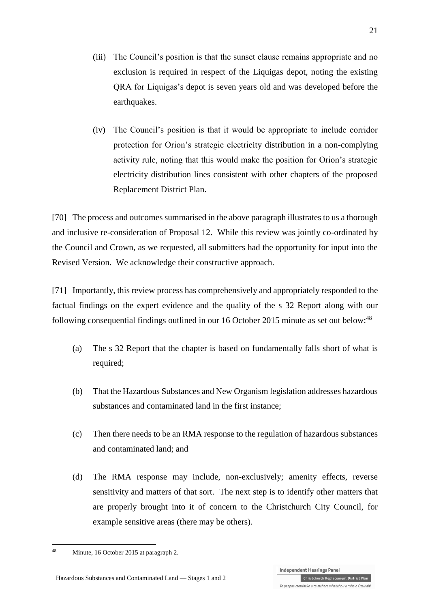- (iii) The Council's position is that the sunset clause remains appropriate and no exclusion is required in respect of the Liquigas depot, noting the existing QRA for Liquigas's depot is seven years old and was developed before the earthquakes.
- (iv) The Council's position is that it would be appropriate to include corridor protection for Orion's strategic electricity distribution in a non-complying activity rule, noting that this would make the position for Orion's strategic electricity distribution lines consistent with other chapters of the proposed Replacement District Plan.

[70] The process and outcomes summarised in the above paragraph illustrates to us a thorough and inclusive re-consideration of Proposal 12. While this review was jointly co-ordinated by the Council and Crown, as we requested, all submitters had the opportunity for input into the Revised Version. We acknowledge their constructive approach.

[71] Importantly, this review process has comprehensively and appropriately responded to the factual findings on the expert evidence and the quality of the s 32 Report along with our following consequential findings outlined in our 16 October 2015 minute as set out below:<sup>48</sup>

- (a) The s 32 Report that the chapter is based on fundamentally falls short of what is required;
- (b) That the Hazardous Substances and New Organism legislation addresses hazardous substances and contaminated land in the first instance;
- (c) Then there needs to be an RMA response to the regulation of hazardous substances and contaminated land; and
- (d) The RMA response may include, non-exclusively; amenity effects, reverse sensitivity and matters of that sort. The next step is to identify other matters that are properly brought into it of concern to the Christchurch City Council, for example sensitive areas (there may be others).

<sup>1</sup> <sup>48</sup> Minute, 16 October 2015 at paragraph 2.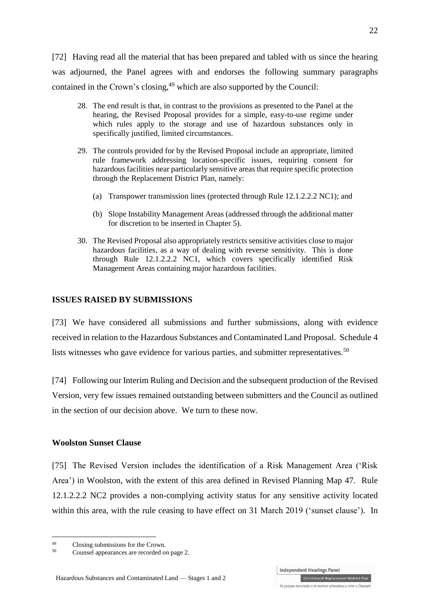[72] Having read all the material that has been prepared and tabled with us since the hearing was adjourned, the Panel agrees with and endorses the following summary paragraphs contained in the Crown's closing, <sup>49</sup> which are also supported by the Council:

- 28. The end result is that, in contrast to the provisions as presented to the Panel at the hearing, the Revised Proposal provides for a simple, easy-to-use regime under which rules apply to the storage and use of hazardous substances only in specifically justified, limited circumstances.
- 29. The controls provided for by the Revised Proposal include an appropriate, limited rule framework addressing location-specific issues, requiring consent for hazardous facilities near particularly sensitive areas that require specific protection through the Replacement District Plan, namely:
	- (a) Transpower transmission lines (protected through Rule 12.1.2.2.2 NC1); and
	- (b) Slope Instability Management Areas (addressed through the additional matter for discretion to be inserted in Chapter 5).
- 30. The Revised Proposal also appropriately restricts sensitive activities close to major hazardous facilities, as a way of dealing with reverse sensitivity. This is done through Rule 12.1.2.2.2 NC1, which covers specifically identified Risk Management Areas containing major hazardous facilities.

#### **ISSUES RAISED BY SUBMISSIONS**

[73] We have considered all submissions and further submissions, along with evidence received in relation to the Hazardous Substances and Contaminated Land Proposal. Schedule 4 lists witnesses who gave evidence for various parties, and submitter representatives.<sup>50</sup>

[74] Following our Interim Ruling and Decision and the subsequent production of the Revised Version, very few issues remained outstanding between submitters and the Council as outlined in the section of our decision above. We turn to these now.

#### **Woolston Sunset Clause**

[75] The Revised Version includes the identification of a Risk Management Area ('Risk Area') in Woolston, with the extent of this area defined in Revised Planning Map 47. Rule 12.1.2.2.2 NC2 provides a non-complying activity status for any sensitive activity located within this area, with the rule ceasing to have effect on 31 March 2019 ('sunset clause'). In

<u>.</u>

 $^{49}$  Closing submissions for the Crown.

Counsel appearances are recorded on page 2.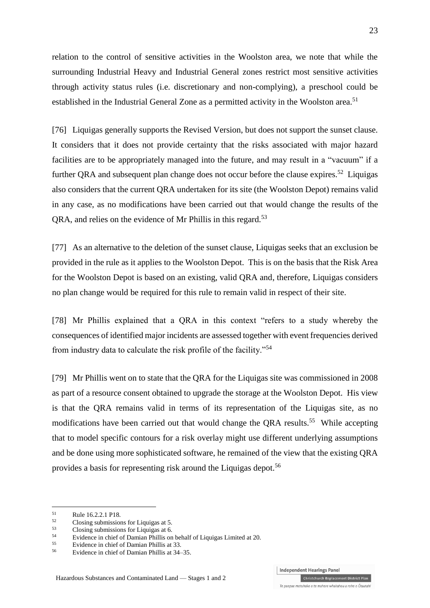relation to the control of sensitive activities in the Woolston area, we note that while the surrounding Industrial Heavy and Industrial General zones restrict most sensitive activities through activity status rules (i.e. discretionary and non-complying), a preschool could be established in the Industrial General Zone as a permitted activity in the Woolston area.<sup>51</sup>

[76] Liquigas generally supports the Revised Version, but does not support the sunset clause. It considers that it does not provide certainty that the risks associated with major hazard facilities are to be appropriately managed into the future, and may result in a "vacuum" if a further QRA and subsequent plan change does not occur before the clause expires.<sup>52</sup> Liquigas also considers that the current QRA undertaken for its site (the Woolston Depot) remains valid in any case, as no modifications have been carried out that would change the results of the QRA, and relies on the evidence of Mr Phillis in this regard.<sup>53</sup>

[77] As an alternative to the deletion of the sunset clause, Liquigas seeks that an exclusion be provided in the rule as it applies to the Woolston Depot. This is on the basis that the Risk Area for the Woolston Depot is based on an existing, valid QRA and, therefore, Liquigas considers no plan change would be required for this rule to remain valid in respect of their site.

[78] Mr Phillis explained that a QRA in this context "refers to a study whereby the consequences of identified major incidents are assessed together with event frequencies derived from industry data to calculate the risk profile of the facility."<sup>54</sup>

[79] Mr Phillis went on to state that the QRA for the Liquigas site was commissioned in 2008 as part of a resource consent obtained to upgrade the storage at the Woolston Depot. His view is that the QRA remains valid in terms of its representation of the Liquigas site, as no modifications have been carried out that would change the QRA results.<sup>55</sup> While accepting that to model specific contours for a risk overlay might use different underlying assumptions and be done using more sophisticated software, he remained of the view that the existing QRA provides a basis for representing risk around the Liquigas depot.<sup>56</sup>

1

 $51$  Rule 16.2.2.1 P18.

 $^{52}$  Closing submissions for Liquigas at 5.<br>Closing submissions for Liquigas at 6.

 $^{53}$  Closing submissions for Liquigas at 6.

<sup>&</sup>lt;sup>54</sup> Evidence in chief of Damian Phillis on behalf of Liquigas Limited at 20.

<sup>&</sup>lt;sup>55</sup> Evidence in chief of Damian Phillis at 33.<br> $\frac{56}{24}$ .

<sup>56</sup> Evidence in chief of Damian Phillis at 34–35.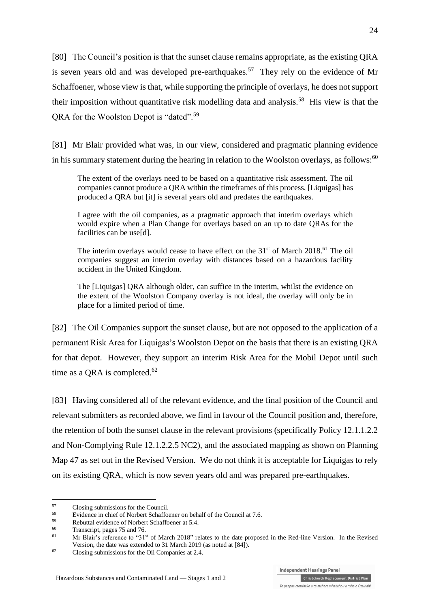[80] The Council's position is that the sunset clause remains appropriate, as the existing QRA is seven years old and was developed pre-earthquakes.<sup>57</sup> They rely on the evidence of Mr Schaffoener, whose view is that, while supporting the principle of overlays, he does not support their imposition without quantitative risk modelling data and analysis.<sup>58</sup> His view is that the QRA for the Woolston Depot is "dated".<sup>59</sup>

[81] Mr Blair provided what was, in our view, considered and pragmatic planning evidence in his summary statement during the hearing in relation to the Woolston overlays, as follows: $60$ 

The extent of the overlays need to be based on a quantitative risk assessment. The oil companies cannot produce a QRA within the timeframes of this process, [Liquigas] has produced a QRA but [it] is several years old and predates the earthquakes.

I agree with the oil companies, as a pragmatic approach that interim overlays which would expire when a Plan Change for overlays based on an up to date QRAs for the facilities can be use[d].

The interim overlays would cease to have effect on the 31<sup>st</sup> of March 2018.<sup>61</sup> The oil companies suggest an interim overlay with distances based on a hazardous facility accident in the United Kingdom.

The [Liquigas] QRA although older, can suffice in the interim, whilst the evidence on the extent of the Woolston Company overlay is not ideal, the overlay will only be in place for a limited period of time.

[82] The Oil Companies support the sunset clause, but are not opposed to the application of a permanent Risk Area for Liquigas's Woolston Depot on the basis that there is an existing QRA for that depot. However, they support an interim Risk Area for the Mobil Depot until such time as a QRA is completed.<sup>62</sup>

[83] Having considered all of the relevant evidence, and the final position of the Council and relevant submitters as recorded above, we find in favour of the Council position and, therefore, the retention of both the sunset clause in the relevant provisions (specifically Policy 12.1.1.2.2 and Non-Complying Rule 12.1.2.2.5 NC2), and the associated mapping as shown on Planning Map 47 as set out in the Revised Version. We do not think it is acceptable for Liquigas to rely on its existing QRA, which is now seven years old and was prepared pre-earthquakes.

<sup>57</sup>  $^{57}$  Closing submissions for the Council.<br> $^{58}$  Evidence in objet of Norbort Scheffe

<sup>&</sup>lt;sup>58</sup> Evidence in chief of Norbert Schaffoener on behalf of the Council at 7.6.<br> $\frac{59}{2}$  Behalftogge of Neglect Schaffoener at 5.4.

 $^{59}$  Rebuttal evidence of Norbert Schaffoener at 5.4.<br> $^{60}$  Transpaint names 75 and 76

 $^{60}$  Transcript, pages 75 and 76.

Mr Blair's reference to "31<sup>st</sup> of March 2018" relates to the date proposed in the Red-line Version. In the Revised Version, the date was extended to 31 March 2019 (as noted at [\[84\]\)](#page-24-0).

<sup>62</sup> Closing submissions for the Oil Companies at 2.4.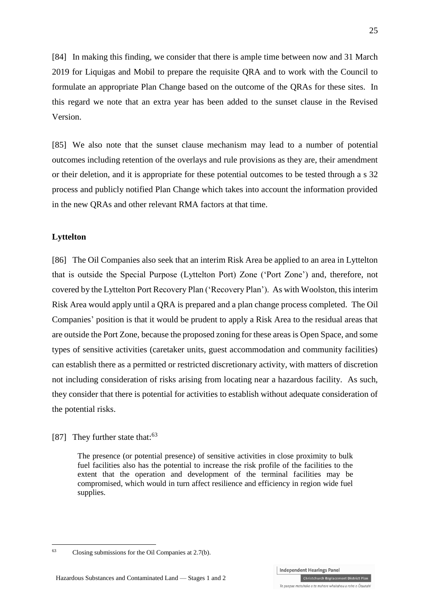<span id="page-24-0"></span>[84] In making this finding, we consider that there is ample time between now and 31 March 2019 for Liquigas and Mobil to prepare the requisite QRA and to work with the Council to formulate an appropriate Plan Change based on the outcome of the QRAs for these sites. In this regard we note that an extra year has been added to the sunset clause in the Revised Version.

[85] We also note that the sunset clause mechanism may lead to a number of potential outcomes including retention of the overlays and rule provisions as they are, their amendment or their deletion, and it is appropriate for these potential outcomes to be tested through a s 32 process and publicly notified Plan Change which takes into account the information provided in the new QRAs and other relevant RMA factors at that time.

#### **Lyttelton**

[86] The Oil Companies also seek that an interim Risk Area be applied to an area in Lyttelton that is outside the Special Purpose (Lyttelton Port) Zone ('Port Zone') and, therefore, not covered by the Lyttelton Port Recovery Plan ('Recovery Plan'). As with Woolston, this interim Risk Area would apply until a QRA is prepared and a plan change process completed. The Oil Companies' position is that it would be prudent to apply a Risk Area to the residual areas that are outside the Port Zone, because the proposed zoning for these areas is Open Space, and some types of sensitive activities (caretaker units, guest accommodation and community facilities) can establish there as a permitted or restricted discretionary activity, with matters of discretion not including consideration of risks arising from locating near a hazardous facility. As such, they consider that there is potential for activities to establish without adequate consideration of the potential risks.

#### [87] They further state that:  $63$

1

The presence (or potential presence) of sensitive activities in close proximity to bulk fuel facilities also has the potential to increase the risk profile of the facilities to the extent that the operation and development of the terminal facilities may be compromised, which would in turn affect resilience and efficiency in region wide fuel supplies.

25

<sup>63</sup> Closing submissions for the Oil Companies at 2.7(b).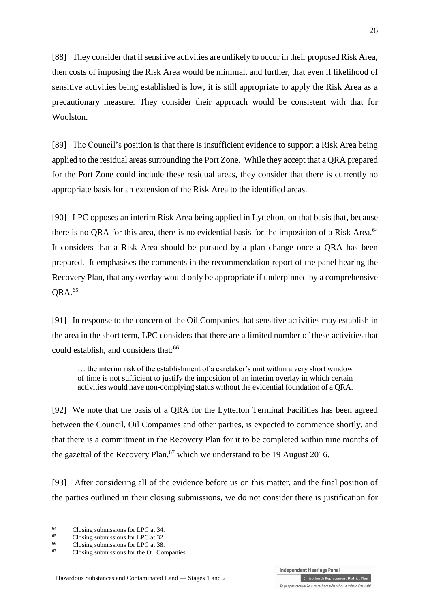[88] They consider that if sensitive activities are unlikely to occur in their proposed Risk Area, then costs of imposing the Risk Area would be minimal, and further, that even if likelihood of sensitive activities being established is low, it is still appropriate to apply the Risk Area as a precautionary measure. They consider their approach would be consistent with that for Woolston.

[89] The Council's position is that there is insufficient evidence to support a Risk Area being applied to the residual areas surrounding the Port Zone. While they accept that a QRA prepared for the Port Zone could include these residual areas, they consider that there is currently no appropriate basis for an extension of the Risk Area to the identified areas.

[90] LPC opposes an interim Risk Area being applied in Lyttelton, on that basis that, because there is no QRA for this area, there is no evidential basis for the imposition of a Risk Area.<sup>64</sup> It considers that a Risk Area should be pursued by a plan change once a QRA has been prepared. It emphasises the comments in the recommendation report of the panel hearing the Recovery Plan, that any overlay would only be appropriate if underpinned by a comprehensive QRA.<sup>65</sup>

[91] In response to the concern of the Oil Companies that sensitive activities may establish in the area in the short term, LPC considers that there are a limited number of these activities that could establish, and considers that:<sup>66</sup>

… the interim risk of the establishment of a caretaker's unit within a very short window of time is not sufficient to justify the imposition of an interim overlay in which certain activities would have non-complying status without the evidential foundation of a QRA.

[92] We note that the basis of a QRA for the Lyttelton Terminal Facilities has been agreed between the Council, Oil Companies and other parties, is expected to commence shortly, and that there is a commitment in the Recovery Plan for it to be completed within nine months of the gazettal of the Recovery Plan,  $67$  which we understand to be 19 August 2016.

[93] After considering all of the evidence before us on this matter, and the final position of the parties outlined in their closing submissions, we do not consider there is justification for

<u>.</u>

 $^{64}$  Closing submissions for LPC at 34.

 $^{65}$  Closing submissions for LPC at 32.

 $^{66}$  Closing submissions for LPC at 38.

Closing submissions for the Oil Companies.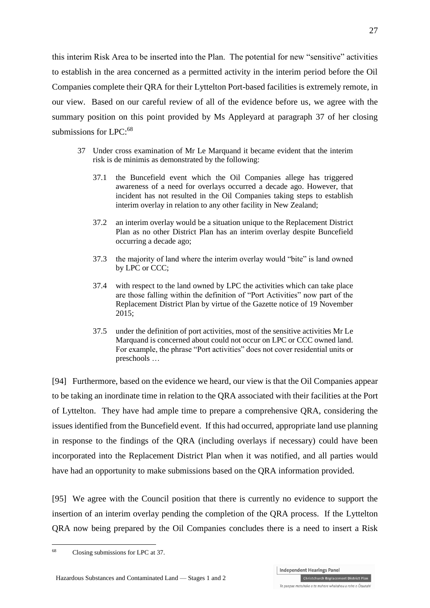this interim Risk Area to be inserted into the Plan. The potential for new "sensitive" activities to establish in the area concerned as a permitted activity in the interim period before the Oil Companies complete their QRA for their Lyttelton Port-based facilities is extremely remote, in our view. Based on our careful review of all of the evidence before us, we agree with the summary position on this point provided by Ms Appleyard at paragraph 37 of her closing submissions for LPC:<sup>68</sup>

- 37 Under cross examination of Mr Le Marquand it became evident that the interim risk is de minimis as demonstrated by the following:
	- 37.1 the Buncefield event which the Oil Companies allege has triggered awareness of a need for overlays occurred a decade ago. However, that incident has not resulted in the Oil Companies taking steps to establish interim overlay in relation to any other facility in New Zealand;
	- 37.2 an interim overlay would be a situation unique to the Replacement District Plan as no other District Plan has an interim overlay despite Buncefield occurring a decade ago;
	- 37.3 the majority of land where the interim overlay would "bite" is land owned by LPC or CCC;
	- 37.4 with respect to the land owned by LPC the activities which can take place are those falling within the definition of "Port Activities" now part of the Replacement District Plan by virtue of the Gazette notice of 19 November 2015;
	- 37.5 under the definition of port activities, most of the sensitive activities Mr Le Marquand is concerned about could not occur on LPC or CCC owned land. For example, the phrase "Port activities" does not cover residential units or preschools …

[94] Furthermore, based on the evidence we heard, our view is that the Oil Companies appear to be taking an inordinate time in relation to the QRA associated with their facilities at the Port of Lyttelton. They have had ample time to prepare a comprehensive QRA, considering the issues identified from the Buncefield event. If this had occurred, appropriate land use planning in response to the findings of the QRA (including overlays if necessary) could have been incorporated into the Replacement District Plan when it was notified, and all parties would have had an opportunity to make submissions based on the QRA information provided.

[95] We agree with the Council position that there is currently no evidence to support the insertion of an interim overlay pending the completion of the QRA process. If the Lyttelton QRA now being prepared by the Oil Companies concludes there is a need to insert a Risk

<sup>1</sup> <sup>68</sup> Closing submissions for LPC at 37.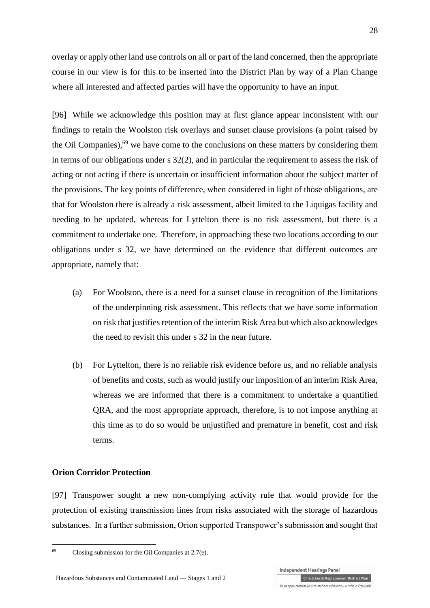overlay or apply other land use controls on all or part of the land concerned, then the appropriate course in our view is for this to be inserted into the District Plan by way of a Plan Change where all interested and affected parties will have the opportunity to have an input.

[96] While we acknowledge this position may at first glance appear inconsistent with our findings to retain the Woolston risk overlays and sunset clause provisions (a point raised by the Oil Companies), $69$  we have come to the conclusions on these matters by considering them in terms of our obligations under s 32(2), and in particular the requirement to assess the risk of acting or not acting if there is uncertain or insufficient information about the subject matter of the provisions. The key points of difference, when considered in light of those obligations, are that for Woolston there is already a risk assessment, albeit limited to the Liquigas facility and needing to be updated, whereas for Lyttelton there is no risk assessment, but there is a commitment to undertake one. Therefore, in approaching these two locations according to our obligations under s 32, we have determined on the evidence that different outcomes are appropriate, namely that:

- (a) For Woolston, there is a need for a sunset clause in recognition of the limitations of the underpinning risk assessment. This reflects that we have some information on risk that justifies retention of the interim Risk Area but which also acknowledges the need to revisit this under s 32 in the near future.
- (b) For Lyttelton, there is no reliable risk evidence before us, and no reliable analysis of benefits and costs, such as would justify our imposition of an interim Risk Area, whereas we are informed that there is a commitment to undertake a quantified QRA, and the most appropriate approach, therefore, is to not impose anything at this time as to do so would be unjustified and premature in benefit, cost and risk terms.

#### **Orion Corridor Protection**

1

[97] Transpower sought a new non-complying activity rule that would provide for the protection of existing transmission lines from risks associated with the storage of hazardous substances. In a further submission, Orion supported Transpower's submission and sought that

 $^{69}$  Closing submission for the Oil Companies at 2.7(e).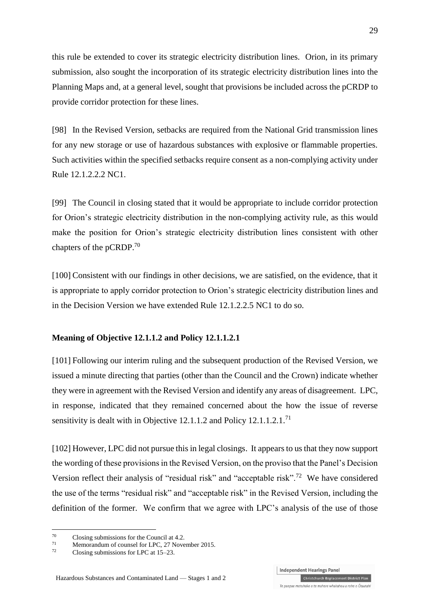this rule be extended to cover its strategic electricity distribution lines. Orion, in its primary submission, also sought the incorporation of its strategic electricity distribution lines into the Planning Maps and, at a general level, sought that provisions be included across the pCRDP to provide corridor protection for these lines.

[98] In the Revised Version, setbacks are required from the National Grid transmission lines for any new storage or use of hazardous substances with explosive or flammable properties. Such activities within the specified setbacks require consent as a non-complying activity under Rule 12.1.2.2.2 NC1.

[99] The Council in closing stated that it would be appropriate to include corridor protection for Orion's strategic electricity distribution in the non-complying activity rule, as this would make the position for Orion's strategic electricity distribution lines consistent with other chapters of the pCRDP.<sup>70</sup>

[100] Consistent with our findings in other decisions, we are satisfied, on the evidence, that it is appropriate to apply corridor protection to Orion's strategic electricity distribution lines and in the Decision Version we have extended Rule 12.1.2.2.5 NC1 to do so.

#### **Meaning of Objective 12.1.1.2 and Policy 12.1.1.2.1**

[101] Following our interim ruling and the subsequent production of the Revised Version, we issued a minute directing that parties (other than the Council and the Crown) indicate whether they were in agreement with the Revised Version and identify any areas of disagreement. LPC, in response, indicated that they remained concerned about the how the issue of reverse sensitivity is dealt with in Objective 12.1.1.2 and Policy  $12.1.1.2.1$ <sup>71</sup>

[102] However, LPC did not pursue this in legal closings. It appears to us that they now support the wording of these provisions in the Revised Version, on the proviso that the Panel's Decision Version reflect their analysis of "residual risk" and "acceptable risk".<sup>72</sup> We have considered the use of the terms "residual risk" and "acceptable risk" in the Revised Version, including the definition of the former. We confirm that we agree with LPC's analysis of the use of those

1

Christchurch Replacement District Plan Te paepae motuhake o te mahere whakahou a rohe o Ōtautahi

 $^{70}$  Closing submissions for the Council at 4.2.

<sup>71</sup> Memorandum of counsel for LPC, 27 November 2015.

Closing submissions for LPC at 15–23.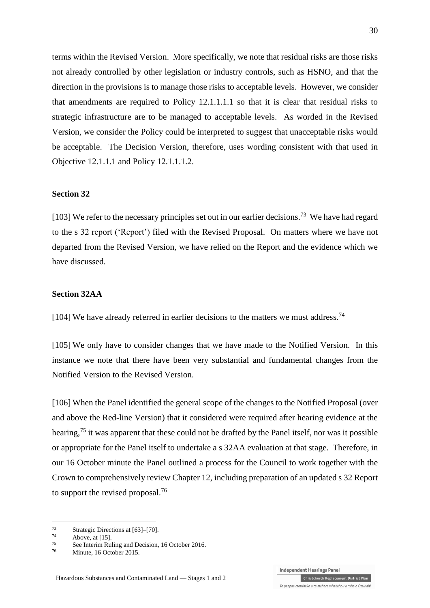terms within the Revised Version. More specifically, we note that residual risks are those risks not already controlled by other legislation or industry controls, such as HSNO, and that the direction in the provisions is to manage those risks to acceptable levels. However, we consider that amendments are required to Policy 12.1.1.1.1 so that it is clear that residual risks to strategic infrastructure are to be managed to acceptable levels. As worded in the Revised Version, we consider the Policy could be interpreted to suggest that unacceptable risks would be acceptable. The Decision Version, therefore, uses wording consistent with that used in Objective 12.1.1.1 and Policy 12.1.1.1.2.

#### **Section 32**

[103] We refer to the necessary principles set out in our earlier decisions.<sup>73</sup> We have had regard to the s 32 report ('Report') filed with the Revised Proposal. On matters where we have not departed from the Revised Version, we have relied on the Report and the evidence which we have discussed.

#### **Section 32AA**

[104] We have already referred in earlier decisions to the matters we must address.<sup>74</sup>

[105] We only have to consider changes that we have made to the Notified Version. In this instance we note that there have been very substantial and fundamental changes from the Notified Version to the Revised Version.

[106] When the Panel identified the general scope of the changes to the Notified Proposal (over and above the Red-line Version) that it considered were required after hearing evidence at the hearing,<sup>75</sup> it was apparent that these could not be drafted by the Panel itself, nor was it possible or appropriate for the Panel itself to undertake a s 32AA evaluation at that stage. Therefore, in our 16 October minute the Panel outlined a process for the Council to work together with the Crown to comprehensively review Chapter 12, including preparation of an updated s 32 Report to support the revised proposal.<sup>76</sup>

<u>.</u>



<sup>&</sup>lt;sup>73</sup> Strategic Directions at  $[63]$ – $[70]$ .

 $^{74}$  Above, a[t \[15\].](#page-5-0)

<sup>&</sup>lt;sup>75</sup> See Interim Ruling and Decision, 16 October 2016.<br> $\frac{76}{20}$  Minute 16 October 2015

Minute, 16 October 2015.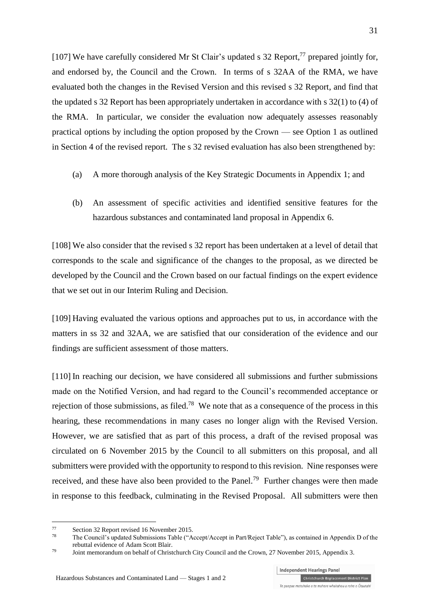[107] We have carefully considered Mr St Clair's updated s 32 Report,<sup>77</sup> prepared jointly for, and endorsed by, the Council and the Crown. In terms of s 32AA of the RMA, we have evaluated both the changes in the Revised Version and this revised s 32 Report, and find that the updated s 32 Report has been appropriately undertaken in accordance with s 32(1) to (4) of the RMA. In particular, we consider the evaluation now adequately assesses reasonably practical options by including the option proposed by the Crown — see Option 1 as outlined in Section 4 of the revised report. The s 32 revised evaluation has also been strengthened by:

- (a) A more thorough analysis of the Key Strategic Documents in Appendix 1; and
- (b) An assessment of specific activities and identified sensitive features for the hazardous substances and contaminated land proposal in Appendix 6.

[108] We also consider that the revised s 32 report has been undertaken at a level of detail that corresponds to the scale and significance of the changes to the proposal, as we directed be developed by the Council and the Crown based on our factual findings on the expert evidence that we set out in our Interim Ruling and Decision.

[109] Having evaluated the various options and approaches put to us, in accordance with the matters in ss 32 and 32AA, we are satisfied that our consideration of the evidence and our findings are sufficient assessment of those matters.

[110] In reaching our decision, we have considered all submissions and further submissions made on the Notified Version, and had regard to the Council's recommended acceptance or rejection of those submissions, as filed.<sup>78</sup> We note that as a consequence of the process in this hearing, these recommendations in many cases no longer align with the Revised Version. However, we are satisfied that as part of this process, a draft of the revised proposal was circulated on 6 November 2015 by the Council to all submitters on this proposal, and all submitters were provided with the opportunity to respond to this revision. Nine responses were received, and these have also been provided to the Panel.<sup>79</sup> Further changes were then made in response to this feedback, culminating in the Revised Proposal. All submitters were then

<u>.</u>

<sup>77</sup> Section 32 Report revised 16 November 2015.<br>
The Council's undeted Submissions Table (\* 4.

The Council's updated Submissions Table ("Accept/Accept in Part/Reject Table"), as contained in Appendix D of the rebuttal evidence of Adam Scott Blair.

<sup>79</sup> Joint memorandum on behalf of Christchurch City Council and the Crown, 27 November 2015, Appendix 3.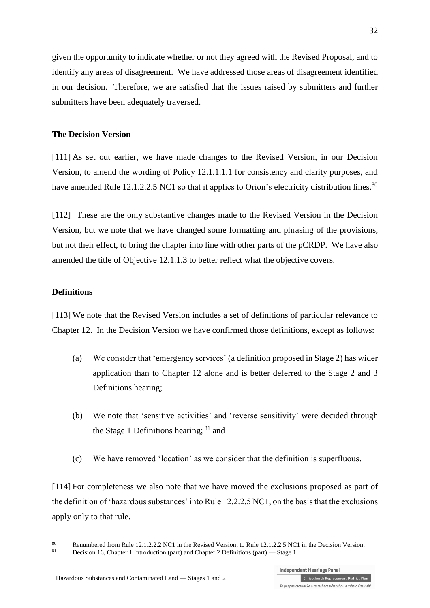given the opportunity to indicate whether or not they agreed with the Revised Proposal, and to identify any areas of disagreement. We have addressed those areas of disagreement identified in our decision. Therefore, we are satisfied that the issues raised by submitters and further submitters have been adequately traversed.

#### **The Decision Version**

[111] As set out earlier, we have made changes to the Revised Version, in our Decision Version, to amend the wording of Policy 12.1.1.1.1 for consistency and clarity purposes, and have amended Rule 12.1.2.2.5 NC1 so that it applies to Orion's electricity distribution lines.<sup>80</sup>

[112] These are the only substantive changes made to the Revised Version in the Decision Version, but we note that we have changed some formatting and phrasing of the provisions, but not their effect, to bring the chapter into line with other parts of the pCRDP. We have also amended the title of Objective 12.1.1.3 to better reflect what the objective covers.

#### **Definitions**

<u>.</u>

[113] We note that the Revised Version includes a set of definitions of particular relevance to Chapter 12. In the Decision Version we have confirmed those definitions, except as follows:

- (a) We consider that 'emergency services' (a definition proposed in Stage 2) has wider application than to Chapter 12 alone and is better deferred to the Stage 2 and 3 Definitions hearing;
- (b) We note that 'sensitive activities' and 'reverse sensitivity' were decided through the Stage 1 Definitions hearing; <sup>81</sup> and
- (c) We have removed 'location' as we consider that the definition is superfluous.

[114] For completeness we also note that we have moved the exclusions proposed as part of the definition of 'hazardous substances' into Rule 12.2.2.5 NC1, on the basis that the exclusions apply only to that rule.

<sup>80</sup> Renumbered from Rule 12.1.2.2.2 NC1 in the Revised Version, to Rule 12.1.2.2.5 NC1 in the Decision Version.

<sup>81</sup> Decision 16, Chapter 1 Introduction (part) and Chapter 2 Definitions (part) — Stage 1.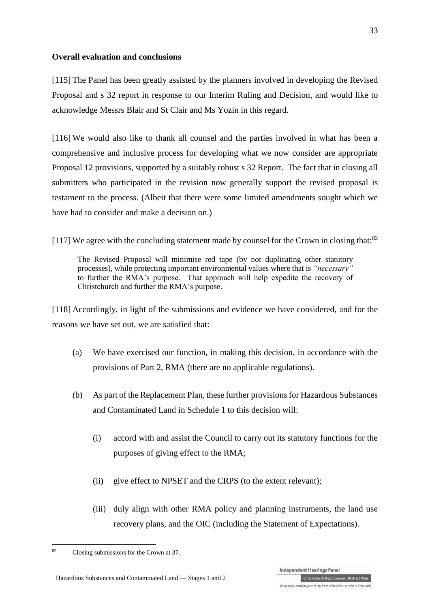### **Overall evaluation and conclusions**

[115] The Panel has been greatly assisted by the planners involved in developing the Revised Proposal and s 32 report in response to our Interim Ruling and Decision, and would like to acknowledge Messrs Blair and St Clair and Ms Yozin in this regard.

[116] We would also like to thank all counsel and the parties involved in what has been a comprehensive and inclusive process for developing what we now consider are appropriate Proposal 12 provisions, supported by a suitably robust s 32 Report. The fact that in closing all submitters who participated in the revision now generally support the revised proposal is testament to the process. (Albeit that there were some limited amendments sought which we have had to consider and make a decision on.)

[117] We agree with the concluding statement made by counsel for the Crown in closing that:<sup>82</sup>

The Revised Proposal will minimise red tape (by not duplicating other statutory processes), while protecting important environmental values where that is *"necessary"*  to further the RMA's purpose. That approach will help expedite the recovery of Christchurch and further the RMA's purpose.

[118] Accordingly, in light of the submissions and evidence we have considered, and for the reasons we have set out, we are satisfied that:

- (a) We have exercised our function, in making this decision, in accordance with the provisions of Part 2, RMA (there are no applicable regulations).
- (b) As part of the Replacement Plan, these further provisions for Hazardous Substances and Contaminated Land in Schedule 1 to this decision will:
	- (i) accord with and assist the Council to carry out its statutory functions for the purposes of giving effect to the RMA;
	- (ii) give effect to NPSET and the CRPS (to the extent relevant);
	- (iii) duly align with other RMA policy and planning instruments, the land use recovery plans, and the OIC (including the Statement of Expectations).

<sup>1</sup> <sup>82</sup> Closing submissions for the Crown at 37.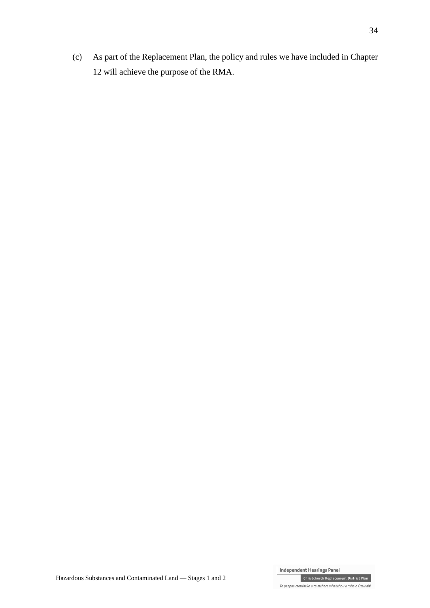(c) As part of the Replacement Plan, the policy and rules we have included in Chapter 12 will achieve the purpose of the RMA.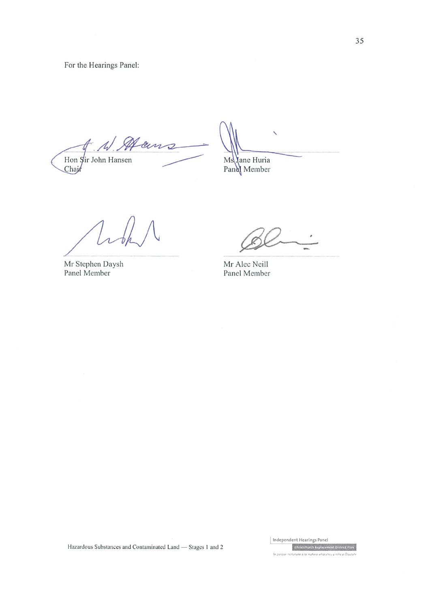For the Hearings Panel:

 $#$   $\mathcal{A}$ Hams Hon Sir John Hansen<br>Chair

Ms Jane Huria<br>Pand Member

Mr Stephen Daysh Panel Member

Mr Alec Neill Panel Member

Hazardous Substances and Contaminated Land - Stages 1 and 2

Independent Hearings Panel Christchurch Replacement District Plan

Te paepae motuhake a te mahere whakahou a rohe a Ötautah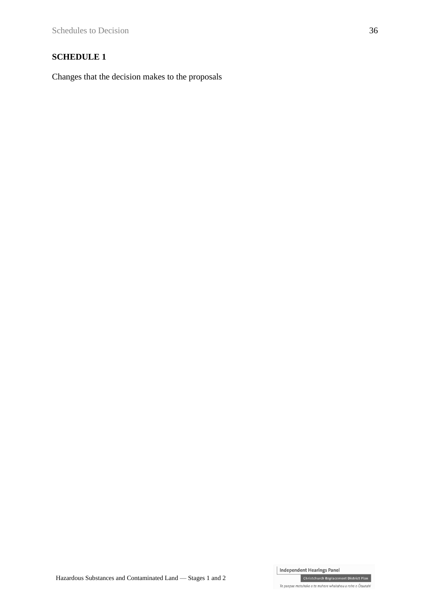## **SCHEDULE 1**

Changes that the decision makes to the proposals

Independent Hearings Panel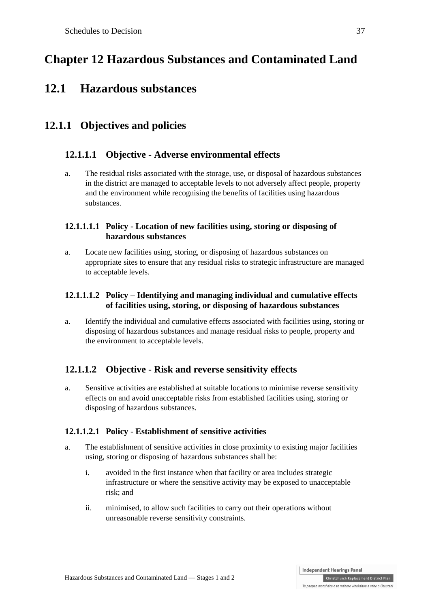# **Chapter 12 Hazardous Substances and Contaminated Land**

## **12.1 Hazardous substances**

## **12.1.1 Objectives and policies**

## **12.1.1.1 Objective - Adverse environmental effects**

a. The residual risks associated with the storage, use, or disposal of hazardous substances in the district are managed to acceptable levels to not adversely affect people, property and the environment while recognising the benefits of facilities using hazardous substances.

## **12.1.1.1.1 Policy - Location of new facilities using, storing or disposing of hazardous substances**

a. Locate new facilities using, storing, or disposing of hazardous substances on appropriate sites to ensure that any residual risks to strategic infrastructure are managed to acceptable levels.

## **12.1.1.1.2 Policy – Identifying and managing individual and cumulative effects of facilities using, storing, or disposing of hazardous substances**

a. Identify the individual and cumulative effects associated with facilities using, storing or disposing of hazardous substances and manage residual risks to people, property and the environment to acceptable levels.

## **12.1.1.2 Objective - Risk and reverse sensitivity effects**

a. Sensitive activities are established at suitable locations to minimise reverse sensitivity effects on and avoid unacceptable risks from established facilities using, storing or disposing of hazardous substances.

## **12.1.1.2.1 Policy - Establishment of sensitive activities**

- a. The establishment of sensitive activities in close proximity to existing major facilities using, storing or disposing of hazardous substances shall be:
	- i. avoided in the first instance when that facility or area includes strategic infrastructure or where the sensitive activity may be exposed to unacceptable risk; and
	- ii. minimised, to allow such facilities to carry out their operations without unreasonable reverse sensitivity constraints.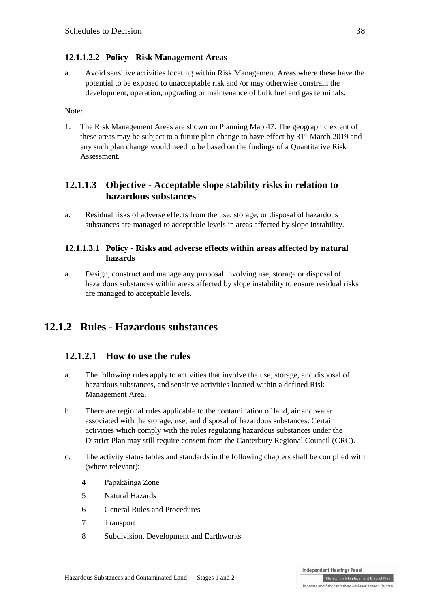#### **12.1.1.2.2 Policy - Risk Management Areas**

a. Avoid sensitive activities locating within Risk Management Areas where these have the potential to be exposed to unacceptable risk and /or may otherwise constrain the development, operation, upgrading or maintenance of bulk fuel and gas terminals.

Note:

1. The Risk Management Areas are shown on Planning Map 47. The geographic extent of these areas may be subject to a future plan change to have effect by  $31<sup>st</sup>$  March 2019 and any such plan change would need to be based on the findings of a Quantitative Risk **Assessment** 

## **12.1.1.3 Objective - Acceptable slope stability risks in relation to hazardous substances**

a. Residual risks of adverse effects from the use, storage, or disposal of hazardous substances are managed to acceptable levels in areas affected by slope instability.

#### **12.1.1.3.1 Policy - Risks and adverse effects within areas affected by natural hazards**

a. Design, construct and manage any proposal involving use, storage or disposal of hazardous substances within areas affected by slope instability to ensure residual risks are managed to acceptable levels.

## **12.1.2 Rules - Hazardous substances**

## **12.1.2.1 How to use the rules**

- a. The following rules apply to activities that involve the [use,](http://www.proposeddistrictplan.ccc.govt.nz/common/user/contentlink.aspx?sid=48869) [storage,](http://www.proposeddistrictplan.ccc.govt.nz/common/user/contentlink.aspx?sid=48853) and disposal [of](http://www.proposeddistrictplan.ccc.govt.nz/common/user/contentlink.aspx?sid=48756)  [hazardous substances,](http://www.proposeddistrictplan.ccc.govt.nz/common/user/contentlink.aspx?sid=48756) and sensitive activities located within a defined Risk Management Area.
- b. There are regional rules applicable to the contamination of land, air and water associated with the storage, use, and disposal of hazardous substances. Certain activities which comply with the rules regulating hazardous substances under the District Plan may still require consent from the Canterbury Regional Council (CRC).
- c. The activity status tables and standards in the following chapters shall be complied with (where relevant):
	- 4 Papakāinga Zone
	- 5 Natural Hazards
	- 6 General Rules and Procedures
	- 7 Transport
	- 8 Subdivision, Development and Earthworks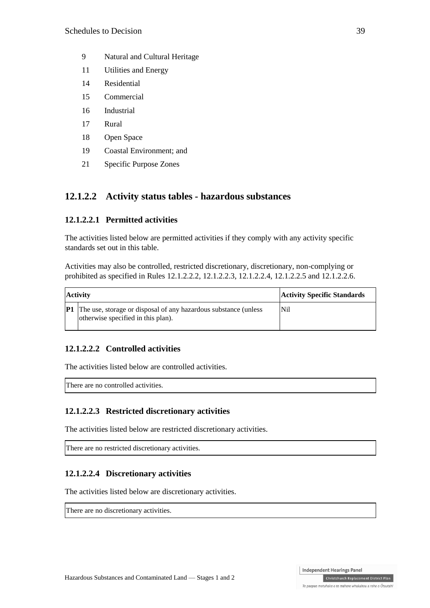- 9 Natural and Cultural Heritage
- 11 Utilities and Energy
- 14 Residential
- 15 Commercial
- 16 Industrial
- 17 Rural
- 18 Open Space
- 19 Coastal Environment; and
- 21 Specific Purpose Zones

## **12.1.2.2 Activity status tables - hazardous substances**

## **12.1.2.2.1 Permitted activities**

The activities listed below are permitted activities if they comply with any activity specific standards set out in this table.

Activities may also be controlled, restricted discretionary, discretionary, non-complying or prohibited as specified in Rules [12.1.2.2.2,](http://proposeddistrictplan.ccc.govt.nz/Pages/Plan/Book.aspx?HID=30660) 12.1.2.2.3, 12.1.2.2.4, 12.1.2.2.5 and 12.1.2.2.6.

| <b>Activity</b> |                                                                                                                 | <b>Activity Specific Standards</b> |
|-----------------|-----------------------------------------------------------------------------------------------------------------|------------------------------------|
|                 | <b>P1</b> The use, storage or disposal of any hazardous substance (unless<br>otherwise specified in this plan). | N <sub>il</sub>                    |

## **12.1.2.2.2 Controlled activities**

The activities listed below are controlled activities.

There are no controlled activities.

## **12.1.2.2.3 Restricted discretionary activities**

The activities listed below are restricted discretionary activities.

There are no restricted discretionary activities.

## **12.1.2.2.4 Discretionary activities**

The activities listed below are discretionary activities.

There are no discretionary activities.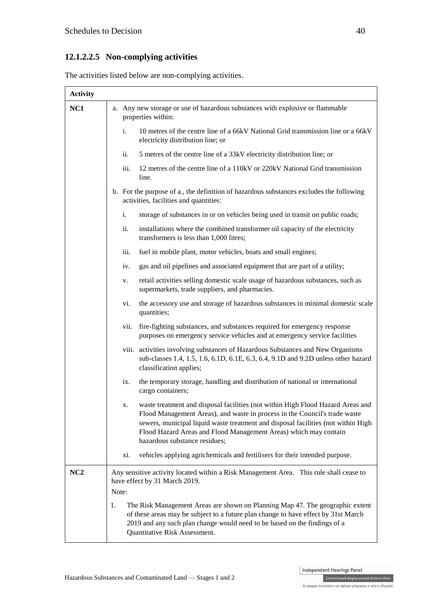## **12.1.2.2.5 Non-complying activities**

The activities listed below are non-complying activities.

| <b>Activity</b> |                                                                                                                                                                                                                                                                                                                                                               |
|-----------------|---------------------------------------------------------------------------------------------------------------------------------------------------------------------------------------------------------------------------------------------------------------------------------------------------------------------------------------------------------------|
| NC1             | a. Any new storage or use of hazardous substances with explosive or flammable<br>properties within:                                                                                                                                                                                                                                                           |
|                 | 10 metres of the centre line of a 66kV National Grid transmission line or a 66kV<br>i.<br>electricity distribution line; or                                                                                                                                                                                                                                   |
|                 | ii.<br>5 metres of the centre line of a 33kV electricity distribution line; or                                                                                                                                                                                                                                                                                |
|                 | iii.<br>12 metres of the centre line of a 110kV or 220kV National Grid transmission<br>line.                                                                                                                                                                                                                                                                  |
|                 | b. For the purpose of a., the definition of hazardous substances excludes the following<br>activities, facilities and quantities:                                                                                                                                                                                                                             |
|                 | storage of substances in or on vehicles being used in transit on public roads;<br>i.                                                                                                                                                                                                                                                                          |
|                 | ii.<br>installations where the combined transformer oil capacity of the electricity<br>transformers is less than 1,000 litres;                                                                                                                                                                                                                                |
|                 | iii.<br>fuel in mobile plant, motor vehicles, boats and small engines;                                                                                                                                                                                                                                                                                        |
|                 | gas and oil pipelines and associated equipment that are part of a utility;<br>iv.                                                                                                                                                                                                                                                                             |
|                 | retail activities selling domestic scale usage of hazardous substances, such as<br>v.<br>supermarkets, trade suppliers, and pharmacies.                                                                                                                                                                                                                       |
|                 | vi.<br>the accessory use and storage of hazardous substances in minimal domestic scale<br>quantities;                                                                                                                                                                                                                                                         |
|                 | fire-fighting substances, and substances required for emergency response<br>vii.<br>purposes on emergency service vehicles and at emergency service facilities                                                                                                                                                                                                |
|                 | viii. activities involving substances of Hazardous Substances and New Organisms<br>sub-classes 1.4, 1.5, 1.6, 6.1D, 6.1E, 6.3, 6.4, 9.1D and 9.2D unless other hazard<br>classification applies;                                                                                                                                                              |
|                 | the temporary storage, handling and distribution of national or international<br>ix.<br>cargo containers;                                                                                                                                                                                                                                                     |
|                 | waste treatment and disposal facilities (not within High Flood Hazard Areas and<br>х.<br>Flood Management Areas), and waste in process in the Council's trade waste<br>sewers, municipal liquid waste treatment and disposal facilities (not within High<br>Flood Hazard Areas and Flood Management Areas) which may contain<br>hazardous substance residues; |
|                 | vehicles applying agrichemicals and fertilisers for their intended purpose.<br>xi.                                                                                                                                                                                                                                                                            |
| NC2             | Any sensitive activity located within a Risk Management Area. This rule shall cease to<br>have effect by 31 March 2019.                                                                                                                                                                                                                                       |
|                 | Note:                                                                                                                                                                                                                                                                                                                                                         |
|                 | The Risk Management Areas are shown on Planning Map 47. The geographic extent<br>1.<br>of these areas may be subject to a future plan change to have effect by 31st March<br>2019 and any such plan change would need to be based on the findings of a<br>Quantitative Risk Assessment.                                                                       |

Independent Hearings Panel Christchurch Replacement District Plan

Te paepae motuhake o te mahere whakahou a rohe o Ōtautahi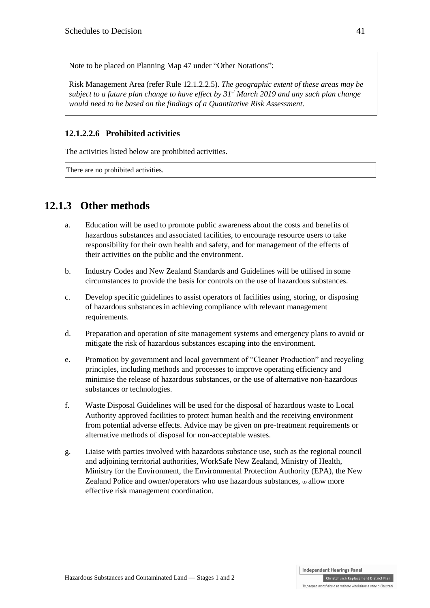Note to be placed on Planning Map 47 under "Other Notations":

Risk Management Area (refer Rule 12.1.2.2.5). *The geographic extent of these areas may be subject to a future plan change to have effect by 31st March 2019 and any such plan change would need to be based on the findings of a Quantitative Risk Assessment.*

## **12.1.2.2.6 Prohibited activities**

The activities listed below are prohibited activities.

There are no prohibited activities.

## **12.1.3 Other methods**

- a. Education will be used to promote public awareness about the costs and benefits of hazardous substances and associated facilities, to encourage resource users to take responsibility for their own health and safety, and for management of the effects of their activities on the public and the environment.
- b. Industry Codes and New Zealand Standards and Guidelines will be utilised in some circumstances to provide the basis for controls on the use of hazardous substances.
- c. Develop specific guidelines to assist operators of facilities using, storing, or disposing of hazardous substancesin achieving compliance with relevant management requirements.
- d. Preparation and operation of site management systems and emergency plans to avoid or mitigate the risk of hazardous substances escaping into the environment.
- e. Promotion by government and local government of "Cleaner Production" and recycling principles, including methods and processes to improve operating efficiency and minimise the release of hazardous substances, or the use of alternative non-hazardous substances or technologies.
- f. Waste Disposal Guidelines will be used for the disposal of hazardous waste to Local Authority approved facilities to protect human health and the receiving environment from potential adverse effects. Advice may be given on pre-treatment requirements or alternative methods of disposal for non-acceptable wastes.
- g. Liaise with parties involved with hazardous substance use, such as the regional council and adjoining territorial authorities, WorkSafe New Zealand, Ministry of Health, Ministry for the Environment, the Environmental Protection Authority (EPA), the New Zealand Police and owner/operators who use hazardous substances, to allow more effective risk management coordination.

Te paepae motuhake o te mahere whakahou a rohe o Ōtautahi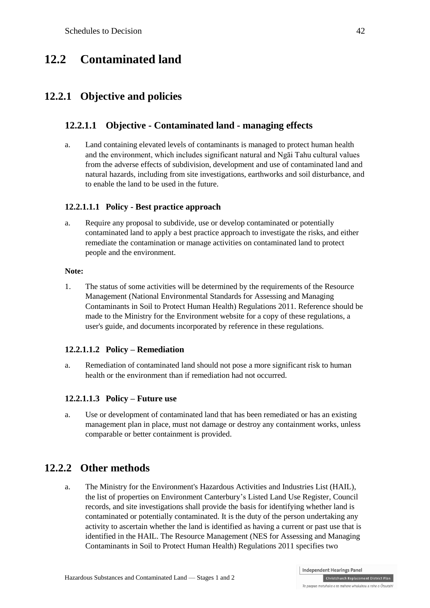## **12.2 Contaminated land**

## **12.2.1 Objective and policies**

## **12.2.1.1 Objective - Contaminated land - managing effects**

a. Land containing elevated levels of contaminants is managed to protect human health and the environment, which includes significant natural and Ngāi Tahu cultural values from the adverse effects of subdivision, development and use of contaminated land and natural hazards, including from site investigations, earthworks and soil disturbance, and to enable the land to be used in the future.

#### **12.2.1.1.1 Policy - Best practice approach**

a. Require any proposal to subdivide, use or develop contaminated or potentially contaminated land to apply a best practice approach to investigate the risks, and either remediate the contamination or manage activities on contaminated land to protect people and the environment.

#### **Note:**

1. The status of some activities will be determined by the requirements of the Resource Management [\(National Environmental Standards for Assessing and Managing](http://www.mfe.govt.nz/laws/standards/contaminants-in-soil/)  [Contaminants in Soil to Protect Human Health\) Regulations 2011.](http://www.mfe.govt.nz/laws/standards/contaminants-in-soil/) Reference should be made to the Ministry for the Environment website for a copy of these regulations, a user's guide, and documents incorporated by reference in these regulations.

#### **12.2.1.1.2 Policy – Remediation**

a. Remediation of contaminated land should not pose a more significant risk to human health or the environment than if remediation had not occurred.

#### **12.2.1.1.3 Policy – Future use**

a. Use or development of contaminated land that has been remediated or has an existing management plan in place, must not damage or destroy any containment works, unless comparable or better containment is provided.

## **12.2.2 Other methods**

a. The Ministry for the Environment's [Hazardous Activities and Industries List \(HAIL\),](https://www.mfe.govt.nz/issues/managing-environmental-risks/contaminated-land/is-land-contaminated/hail.html) the list of properties on Environment Canterbury's [Listed Land Use Register,](http://www.llur.ecan.govt.nz/) Council records, and site investigations shall provide the basis for identifying whether land is contaminated or potentially contaminated. It is the duty of the person undertaking any activity to ascertain whether the land is identified as having a current or past use that is identified in the HAIL. The Resource Management (NES for Assessing and Managing Contaminants in Soil to Protect Human Health) Regulations 2011 specifies two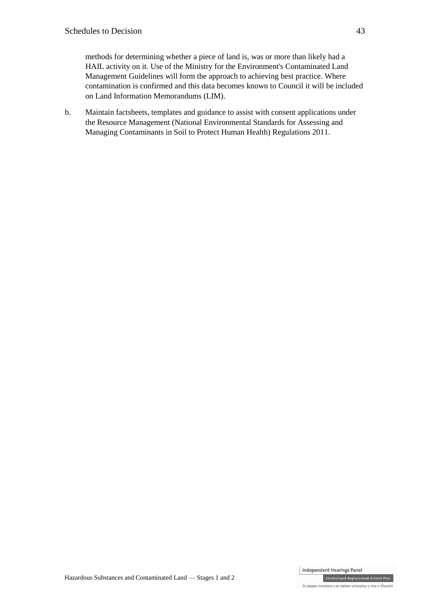methods for determining whether a piece of land is, was or more than likely had a HAIL activity on it. Use of the [Ministry for the Environment's Contaminated Land](https://www.mfe.govt.nz/issues/managing-environmental-risks/contaminated-land/managing/guidelines.html)  [Management Guidelines](https://www.mfe.govt.nz/issues/managing-environmental-risks/contaminated-land/managing/guidelines.html) will form the approach to achieving best practice. Where contamination is confirmed and this data becomes known to Council it will be included on Land Information Memorandums (LIM).

b. Maintain factsheets, templates and guidance to assist with consent applications under the Resource Management (National Environmental Standards for Assessing and Managing Contaminants in Soil to Protect Human Health) Regulations 2011.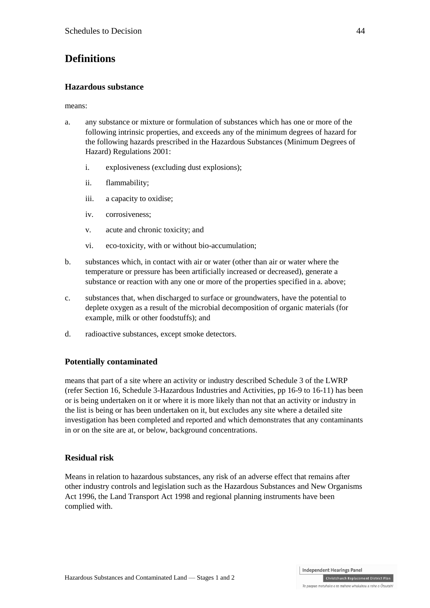## **Definitions**

## **Hazardous substance**

means:

- a. any substance or mixture or formulation of substances which has one or more of the following intrinsic properties, and exceeds any of the minimum degrees of hazard for the following hazards prescribed in the [Hazardous Substances \(Minimum Degrees of](http://www.legislation.govt.nz/regulation/public/2001/0112/latest/DLM33301.html)  [Hazard\) Regulations 2001:](http://www.legislation.govt.nz/regulation/public/2001/0112/latest/DLM33301.html)
	- i. explosiveness (excluding dust explosions);
	- ii. flammability;
	- iii. a capacity to oxidise;
	- iv. corrosiveness;
	- v. acute and chronic toxicity; and
	- vi. eco-toxicity, with or without bio-accumulation;
- b. substances which, in contact with air or water (other than air or water where the temperature or pressure has been artificially increased or decreased), generate a substance or reaction with any one or more of the properties specified in a. above;
- c. substances that, when discharged to surface or groundwaters, have the potential to deplete oxygen as a result of the microbial decomposition of organic materials (for example, milk or other foodstuffs); and
- d. radioactive substances, except smoke detectors.

## **Potentially contaminated**

means that part of a site where an activity or industry described Schedule 3 of the LWRP (refer Section 16, Schedule 3-Hazardous Industries and Activities, pp 16-9 to 16-11) has been or is being undertaken on it or where it is more likely than not that an activity or industry in the list is being or has been undertaken on it, but excludes any site where a detailed site investigation has been completed and reported and which demonstrates that any contaminants in or on the site are at, or below, background concentrations.

## **Residual risk**

Means in relation to hazardous substances, any risk of an adverse effect that remains after other industry controls and legislation such as the Hazardous Substances and New Organisms Act 1996, the Land Transport Act 1998 and regional planning instruments have been complied with.

Christchurch Replacement District Plan Te paepae motuhake o te mahere whakahou a rohe o Ōtautahi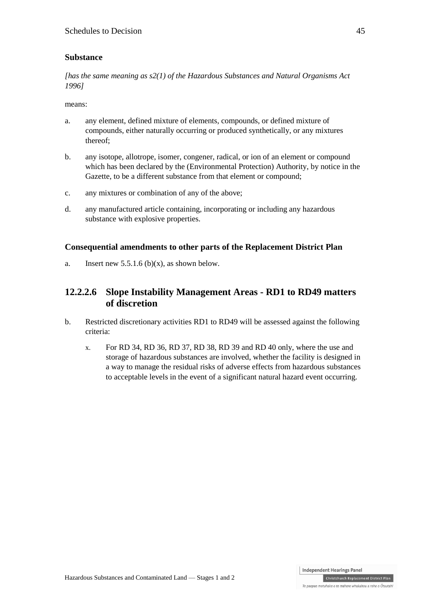## **Substance**

*[has the same meaning as s2(1) of the Hazardous [Substances and Natural Organisms Act](http://www.legislation.govt.nz/act/public/1996/0030/latest/whole.html)  [1996\]](http://www.legislation.govt.nz/act/public/1996/0030/latest/whole.html)*

means:

- a. any element, defined mixture of elements, compounds, or defined mixture of compounds, either naturally occurring or produced synthetically, or any mixtures thereof;
- b. any isotope, allotrope, isomer, congener, radical, or ion of an element or compound which has been declared by the (Environmental Protection) Authority, by notice in the Gazette, to be a different substance from that element or compound;
- c. any mixtures or combination of any of the above;
- d. any manufactured article containing, incorporating or including any hazardous substance with explosive properties.

#### **Consequential amendments to other parts of the Replacement District Plan**

a. Insert new  $5.5.1.6$  (b)(x), as shown below.

## **12.2.2.6 Slope Instability Management Areas - RD1 to RD49 matters of discretion**

- b. Restricted discretionary activities RD1 to RD49 will be assessed against the following criteria:
	- x. For RD 34, RD 36, RD 37, RD 38, RD 39 and RD 40 only, where the use and storage of hazardous substances are involved, whether the facility is designed in a way to manage the residual risks of adverse effects from hazardous substances to acceptable levels in the event of a significant natural hazard event occurring.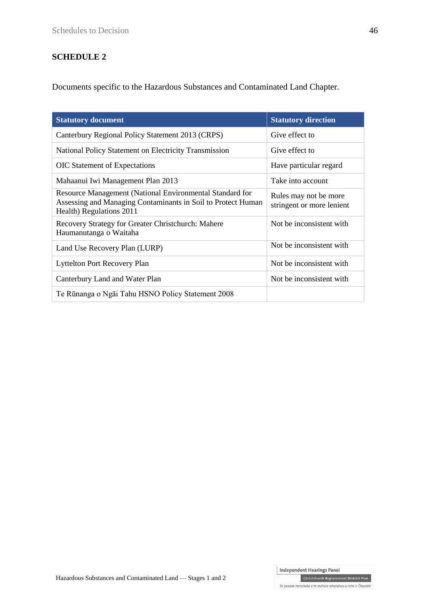## **SCHEDULE 2**

Documents specific to the Hazardous Substances and Contaminated Land Chapter.

| <b>Statutory document</b>                                                                                                                            | <b>Statutory direction</b>                         |
|------------------------------------------------------------------------------------------------------------------------------------------------------|----------------------------------------------------|
| Canterbury Regional Policy Statement 2013 (CRPS)                                                                                                     | Give effect to                                     |
| National Policy Statement on Electricity Transmission                                                                                                | Give effect to                                     |
| <b>OIC</b> Statement of Expectations                                                                                                                 | Have particular regard                             |
| Mahaanui Iwi Management Plan 2013                                                                                                                    | Take into account                                  |
| Resource Management (National Environmental Standard for<br>Assessing and Managing Contaminants in Soil to Protect Human<br>Health) Regulations 2011 | Rules may not be more<br>stringent or more lenient |
| Recovery Strategy for Greater Christchurch: Mahere<br>Haumanutanga o Waitaha                                                                         | Not be inconsistent with.                          |
| Land Use Recovery Plan (LURP)                                                                                                                        | Not be inconsistent with.                          |
| <b>Lyttelton Port Recovery Plan</b>                                                                                                                  | Not be inconsistent with.                          |
| Canterbury Land and Water Plan                                                                                                                       | Not be inconsistent with.                          |
| Te Rūnanga o Ngāi Tahu HSNO Policy Statement 2008                                                                                                    |                                                    |

Independent Hearings Panel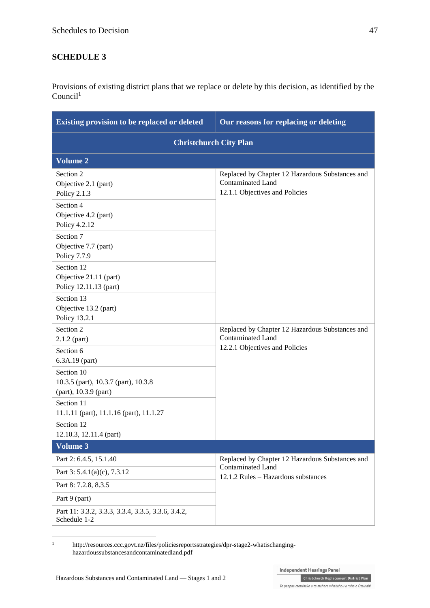## **SCHEDULE 3**

Provisions of existing district plans that we replace or delete by this decision, as identified by the  $Count<sup>1</sup>$ 

| <b>Existing provision to be replaced or deleted</b>                                                     | Our reasons for replacing or deleting                                                                         |  |  |
|---------------------------------------------------------------------------------------------------------|---------------------------------------------------------------------------------------------------------------|--|--|
| <b>Christchurch City Plan</b>                                                                           |                                                                                                               |  |  |
| <b>Volume 2</b>                                                                                         |                                                                                                               |  |  |
| Section 2<br>Objective 2.1 (part)<br>Policy 2.1.3<br>Section 4<br>Objective 4.2 (part)<br>Policy 4.2.12 | Replaced by Chapter 12 Hazardous Substances and<br><b>Contaminated Land</b><br>12.1.1 Objectives and Policies |  |  |
| Section 7<br>Objective 7.7 (part)<br>Policy 7.7.9                                                       |                                                                                                               |  |  |
| Section 12<br>Objective 21.11 (part)<br>Policy 12.11.13 (part)                                          |                                                                                                               |  |  |
| Section 13<br>Objective 13.2 (part)<br>Policy 13.2.1                                                    |                                                                                                               |  |  |
| Section 2<br>$2.1.2$ (part)                                                                             | Replaced by Chapter 12 Hazardous Substances and<br><b>Contaminated Land</b>                                   |  |  |
| Section 6<br>6.3A.19 (part)                                                                             | 12.2.1 Objectives and Policies                                                                                |  |  |
| Section 10<br>10.3.5 (part), 10.3.7 (part), 10.3.8<br>(part), 10.3.9 (part)                             |                                                                                                               |  |  |
| Section 11<br>11.1.11 (part), 11.1.16 (part), 11.1.27                                                   |                                                                                                               |  |  |
| Section 12<br>12.10.3, 12.11.4 (part)                                                                   |                                                                                                               |  |  |
| <b>Volume 3</b>                                                                                         |                                                                                                               |  |  |
| Part 2: 6.4.5, 15.1.40                                                                                  | Replaced by Chapter 12 Hazardous Substances and                                                               |  |  |
| Part $3: 5.4.1(a)(c)$ , 7.3.12                                                                          | <b>Contaminated Land</b><br>12.1.2 Rules - Hazardous substances                                               |  |  |
| Part 8: 7.2.8, 8.3.5                                                                                    |                                                                                                               |  |  |
| Part 9 (part)                                                                                           |                                                                                                               |  |  |
| Part 11: 3.3.2, 3.3.3, 3.3.4, 3.3.5, 3.3.6, 3.4.2,<br>Schedule 1-2                                      |                                                                                                               |  |  |

<sup>1</sup> [http://resources.ccc.govt.nz/files/policiesreportsstrategies/dpr-stage2-whatischanging](http://resources.ccc.govt.nz/files/policiesreportsstrategies/dpr-stage2-whatischanging-hazardoussubstancesandcontaminatedland.pdf)[hazardoussubstancesandcontaminatedland.pdf](http://resources.ccc.govt.nz/files/policiesreportsstrategies/dpr-stage2-whatischanging-hazardoussubstancesandcontaminatedland.pdf)

 $\bar{1}$ 

Independent Hearings Panel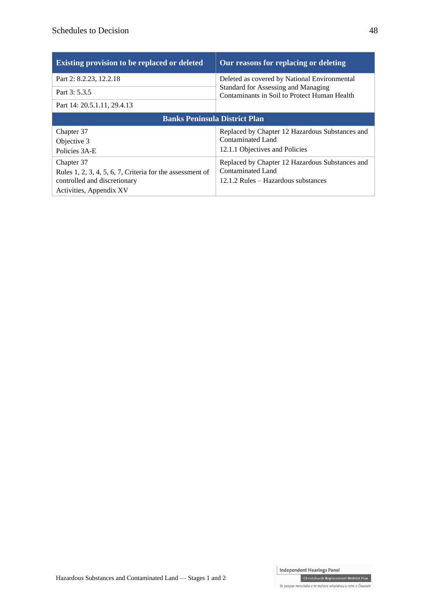| <b>Existing provision to be replaced or deleted</b>       | Our reasons for replacing or deleting                                                                                               |  |  |
|-----------------------------------------------------------|-------------------------------------------------------------------------------------------------------------------------------------|--|--|
| Part 2: 8.2.23, 12.2.18                                   | Deleted as covered by National Environmental<br>Standard for Assessing and Managing<br>Contaminants in Soil to Protect Human Health |  |  |
| Part 3: 5.3.5                                             |                                                                                                                                     |  |  |
| Part 14: 20.5.1.11, 29.4.13                               |                                                                                                                                     |  |  |
| <b>Banks Peninsula District Plan</b>                      |                                                                                                                                     |  |  |
| Chapter 37                                                | Replaced by Chapter 12 Hazardous Substances and                                                                                     |  |  |
| Objective 3                                               | Contaminated Land                                                                                                                   |  |  |
| Policies 3A-E                                             | 12.1.1 Objectives and Policies                                                                                                      |  |  |
| Chapter 37                                                | Replaced by Chapter 12 Hazardous Substances and                                                                                     |  |  |
| Rules 1, 2, 3, 4, 5, 6, 7, Criteria for the assessment of | Contaminated Land                                                                                                                   |  |  |
|                                                           |                                                                                                                                     |  |  |
| controlled and discretionary                              | 12.1.2 Rules – Hazardous substances                                                                                                 |  |  |

Christchurch Replacement District Plan Te paepae motuhake o te mahere whakahou a rohe o Ōtautahi